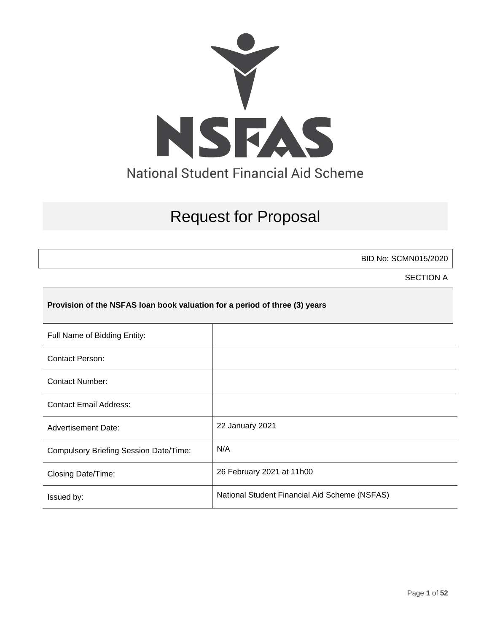

# Request for Proposal

BID No: SCMN015/2020

SECTION A

# **Provision of the NSFAS loan book valuation for a period of three (3) years**

| Full Name of Bidding Entity:                  |                                               |
|-----------------------------------------------|-----------------------------------------------|
| <b>Contact Person:</b>                        |                                               |
| <b>Contact Number:</b>                        |                                               |
| <b>Contact Email Address:</b>                 |                                               |
| <b>Advertisement Date:</b>                    | 22 January 2021                               |
| <b>Compulsory Briefing Session Date/Time:</b> | N/A                                           |
| Closing Date/Time:                            | 26 February 2021 at 11h00                     |
| Issued by:                                    | National Student Financial Aid Scheme (NSFAS) |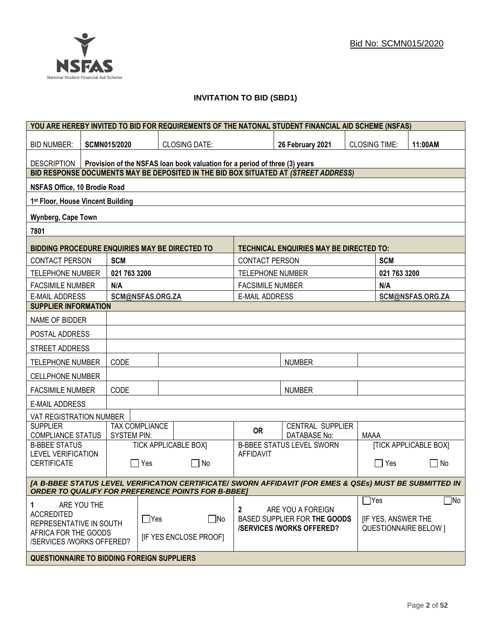# **INVITATION TO BID (SBD1)**

| YOU ARE HEREBY INVITED TO BID FOR REQUIREMENTS OF THE NATONAL STUDENT FINANCIAL AID SCHEME (NSFAS)                                             |                     |                  |                                                                            |                         |                                                   |                      |                           |                              |
|------------------------------------------------------------------------------------------------------------------------------------------------|---------------------|------------------|----------------------------------------------------------------------------|-------------------------|---------------------------------------------------|----------------------|---------------------------|------------------------------|
| <b>BID NUMBER:</b>                                                                                                                             | <b>SCMN015/2020</b> |                  | <b>CLOSING DATE:</b>                                                       |                         | 26 February 2021                                  | <b>CLOSING TIME:</b> |                           | 11:00AM                      |
| <b>DESCRIPTION</b>                                                                                                                             |                     |                  | Provision of the NSFAS loan book valuation for a period of three (3) years |                         |                                                   |                      |                           |                              |
| BID RESPONSE DOCUMENTS MAY BE DEPOSITED IN THE BID BOX SITUATED AT (STREET ADDRESS)                                                            |                     |                  |                                                                            |                         |                                                   |                      |                           |                              |
| NSFAS Office, 10 Brodie Road                                                                                                                   |                     |                  |                                                                            |                         |                                                   |                      |                           |                              |
| 1st Floor, House Vincent Building                                                                                                              |                     |                  |                                                                            |                         |                                                   |                      |                           |                              |
| Wynberg, Cape Town                                                                                                                             |                     |                  |                                                                            |                         |                                                   |                      |                           |                              |
| 7801                                                                                                                                           |                     |                  |                                                                            |                         |                                                   |                      |                           |                              |
| BIDDING PROCEDURE ENQUIRIES MAY BE DIRECTED TO                                                                                                 |                     |                  |                                                                            |                         | <b>TECHNICAL ENQUIRIES MAY BE DIRECTED TO:</b>    |                      |                           |                              |
| <b>CONTACT PERSON</b>                                                                                                                          | <b>SCM</b>          |                  |                                                                            | <b>CONTACT PERSON</b>   |                                                   |                      | <b>SCM</b>                |                              |
| TELEPHONE NUMBER                                                                                                                               | 021 763 3200        |                  |                                                                            | <b>TELEPHONE NUMBER</b> |                                                   |                      | 021 763 3200              |                              |
| <b>FACSIMILE NUMBER</b>                                                                                                                        | N/A                 |                  |                                                                            | <b>FACSIMILE NUMBER</b> |                                                   |                      | N/A                       |                              |
| <b>E-MAIL ADDRESS</b>                                                                                                                          |                     | SCM@NSFAS.ORG.ZA |                                                                            | <b>E-MAIL ADDRESS</b>   |                                                   |                      |                           | SCM@NSFAS.ORG.ZA             |
| <b>SUPPLIER INFORMATION</b>                                                                                                                    |                     |                  |                                                                            |                         |                                                   |                      |                           |                              |
| NAME OF BIDDER                                                                                                                                 |                     |                  |                                                                            |                         |                                                   |                      |                           |                              |
| POSTAL ADDRESS                                                                                                                                 |                     |                  |                                                                            |                         |                                                   |                      |                           |                              |
| STREET ADDRESS                                                                                                                                 |                     |                  |                                                                            |                         |                                                   |                      |                           |                              |
| <b>TELEPHONE NUMBER</b>                                                                                                                        | CODE                |                  |                                                                            |                         | <b>NUMBER</b>                                     |                      |                           |                              |
| <b>CELLPHONE NUMBER</b>                                                                                                                        |                     |                  |                                                                            |                         |                                                   |                      |                           |                              |
| <b>FACSIMILE NUMBER</b>                                                                                                                        | CODE                |                  |                                                                            |                         | <b>NUMBER</b>                                     |                      |                           |                              |
| <b>E-MAIL ADDRESS</b>                                                                                                                          |                     |                  |                                                                            |                         |                                                   |                      |                           |                              |
| VAT REGISTRATION NUMBER                                                                                                                        |                     |                  |                                                                            |                         |                                                   |                      |                           |                              |
| <b>SUPPLIER</b><br>COMPLIANCE STATUS                                                                                                           | <b>SYSTEM PIN:</b>  | TAX COMPLIANCE   |                                                                            | <b>OR</b>               | CENTRAL SUPPLIER<br>DATABASE No:                  | MAAA                 |                           |                              |
| <b>B-BBEE STATUS</b>                                                                                                                           |                     |                  | <b>TICK APPLICABLE BOX]</b>                                                |                         | <b>B-BBEE STATUS LEVEL SWORN</b>                  |                      |                           | <b>[TICK APPLICABLE BOX]</b> |
| <b>LEVEL VERIFICATION</b><br><b>CERTIFICATE</b>                                                                                                |                     | Yes              | $\Box$ No                                                                  | <b>AFFIDAVIT</b>        |                                                   |                      | Yes                       | No<br>$\sim$                 |
| [A B-BBEE STATUS LEVEL VERIFICATION CERTIFICATE/ SWORN AFFIDAVIT (FOR EMES & QSEs) MUST BE SUBMITTED IN                                        |                     |                  |                                                                            |                         |                                                   |                      |                           |                              |
| <b>ORDER TO QUALIFY FOR PREFERENCE POINTS FOR B-BBEE]</b>                                                                                      |                     |                  |                                                                            |                         |                                                   |                      | $\exists$ Yes             | $\exists$ No                 |
| ARE YOU THE<br>1<br><b>ACCREDITED</b><br>REPRESENTATIVE IN SOUTH                                                                               |                     | $\Box$ Yes       | $\square$ No                                                               | $\mathbf{2}$            | ARE YOU A FOREIGN<br>BASED SUPPLIER FOR THE GOODS |                      | <b>IF YES, ANSWER THE</b> |                              |
| <b>/SERVICES/WORKS OFFERED?</b><br><b>QUESTIONNAIRE BELOW 1</b><br>AFRICA FOR THE GOODS<br>[IF YES ENCLOSE PROOF]<br>/SERVICES /WORKS OFFERED? |                     |                  |                                                                            |                         |                                                   |                      |                           |                              |
| <b>QUESTIONNAIRE TO BIDDING FOREIGN SUPPLIERS</b>                                                                                              |                     |                  |                                                                            |                         |                                                   |                      |                           |                              |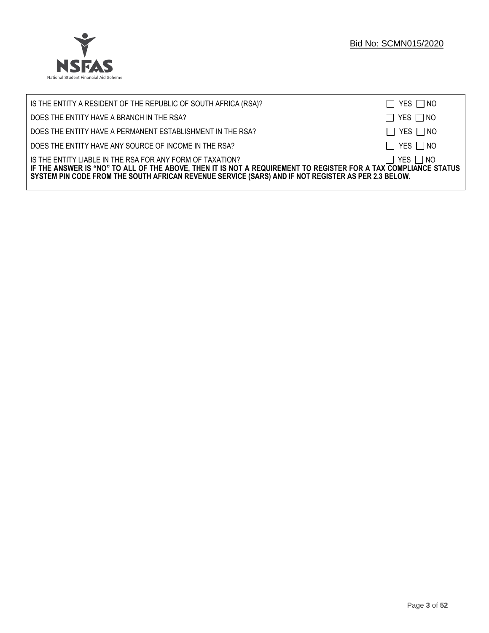

| IS THE ENTITY A RESIDENT OF THE REPUBLIC OF SOUTH AFRICA (RSA)?                                                                                                                                                                                                                     | $\Box$ YES $\Box$ NO |
|-------------------------------------------------------------------------------------------------------------------------------------------------------------------------------------------------------------------------------------------------------------------------------------|----------------------|
| DOES THE ENTITY HAVE A BRANCH IN THE RSA?                                                                                                                                                                                                                                           | $\Box$ YES $\Box$ NO |
| DOES THE ENTITY HAVE A PERMANENT ESTABLISHMENT IN THE RSA?                                                                                                                                                                                                                          | $\Box$ YES $\Box$ NO |
| DOES THE ENTITY HAVE ANY SOURCE OF INCOME IN THE RSA?                                                                                                                                                                                                                               | $\Box$ YES $\Box$ NO |
| IS THE ENTITY LIABLE IN THE RSA FOR ANY FORM OF TAXATION?<br>IF THE ANSWER IS "NO" TO ALL OF THE ABOVE, THEN IT IS NOT A REQUIREMENT TO REGISTER FOR A TAX COMPLIANCE STATUS<br>SYSTEM PIN CODE FROM THE SOUTH AFRICAN REVENUE SERVICE (SARS) AND IF NOT REGISTER AS PER 2.3 BELOW. | $\Box$ YES $\Box$ NO |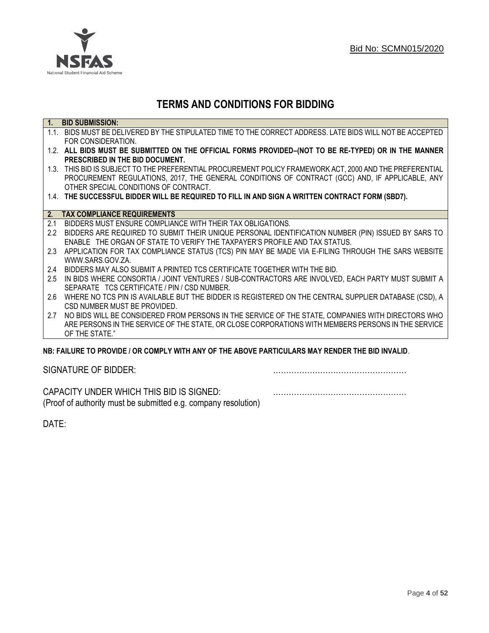

# **TERMS AND CONDITIONS FOR BIDDING**

| $\overline{1}$ . | <b>BID SUBMISSION:</b>                                                                                    |
|------------------|-----------------------------------------------------------------------------------------------------------|
|                  | 1.1. BIDS MUST BE DELIVERED BY THE STIPULATED TIME TO THE CORRECT ADDRESS. LATE BIDS WILL NOT BE ACCEPTED |
|                  | FOR CONSIDERATION.                                                                                        |
|                  | 1.2. ALL BIDS MUST BE SUBMITTED ON THE OFFICIAL FORMS PROVIDED-(NOT TO BE RE-TYPED) OR IN THE MANNER      |
|                  | PRESCRIBED IN THE BID DOCUMENT.                                                                           |
|                  | 1.3. THIS BID IS SUBJECT TO THE PREFERENTIAL PROCUREMENT POLICY FRAMEWORK ACT, 2000 AND THE PREFERENTIAL  |
|                  | PROCUREMENT REGULATIONS, 2017, THE GENERAL CONDITIONS OF CONTRACT (GCC) AND, IF APPLICABLE, ANY           |
|                  | OTHER SPECIAL CONDITIONS OF CONTRACT.                                                                     |
|                  | 1.4. THE SUCCESSFUL BIDDER WILL BE REQUIRED TO FILL IN AND SIGN A WRITTEN CONTRACT FORM (SBD7).           |
|                  |                                                                                                           |
|                  | 2. TAX COMPLIANCE REQUIREMENTS                                                                            |
| 2.1              | BIDDERS MUST ENSURE COMPLIANCE WITH THEIR TAX OBLIGATIONS.                                                |
| $2.2^{\circ}$    | BIDDERS ARE REQUIRED TO SUBMIT THEIR UNIQUE PERSONAL IDENTIFICATION NUMBER (PIN) ISSUED BY SARS TO        |
|                  | ENABLE THE ORGAN OF STATE TO VERIFY THE TAXPAYER'S PROFILE AND TAX STATUS.                                |
| 2.3              | APPLICATION FOR TAX COMPLIANCE STATUS (TCS) PIN MAY BE MADE VIA E-FILING THROUGH THE SARS WEBSITE         |
|                  | WWW.SARS.GOV.ZA.                                                                                          |
| 2.4              | BIDDERS MAY ALSO SUBMIT A PRINTED TCS CERTIFICATE TOGETHER WITH THE BID.                                  |
| 2.5              | IN BIDS WHERE CONSORTIA / JOINT VENTURES / SUB-CONTRACTORS ARE INVOLVED, EACH PARTY MUST SUBMIT A         |
|                  | SEPARATE TCS CERTIFICATE / PIN / CSD NUMBER.                                                              |
| 2.6              | WHERE NO TCS PIN IS AVAILABLE BUT THE BIDDER IS REGISTERED ON THE CENTRAL SUPPLIER DATABASE (CSD), A      |
|                  | CSD NUMBER MUST BE PROVIDED.                                                                              |
| 2.7              | NO BIDS WILL BE CONSIDERED FROM PERSONS IN THE SERVICE OF THE STATE, COMPANIES WITH DIRECTORS WHO         |
|                  | ARE PERSONS IN THE SERVICE OF THE STATE, OR CLOSE CORPORATIONS WITH MEMBERS PERSONS IN THE SERVICE        |
|                  | OF THE STATE."                                                                                            |
|                  | ND. EAILHDE TÓ DDÓVIDE LÓD CÓMDLV WITH ANV OF THE ADOVE DADTIGHLADO MAV DENDED THE DID INVALID            |

# **NB: FAILURE TO PROVIDE / OR COMPLY WITH ANY OF THE ABOVE PARTICULARS MAY RENDER THE BID INVALID**.

|  | SIGNATURE OF BIDDER: |
|--|----------------------|
|--|----------------------|

SIGNATURE OF BIDDER: ……………………………………………

CAPACITY UNDER WHICH THIS BID IS SIGNED: …………………………………………… (Proof of authority must be submitted e.g. company resolution)

DATE: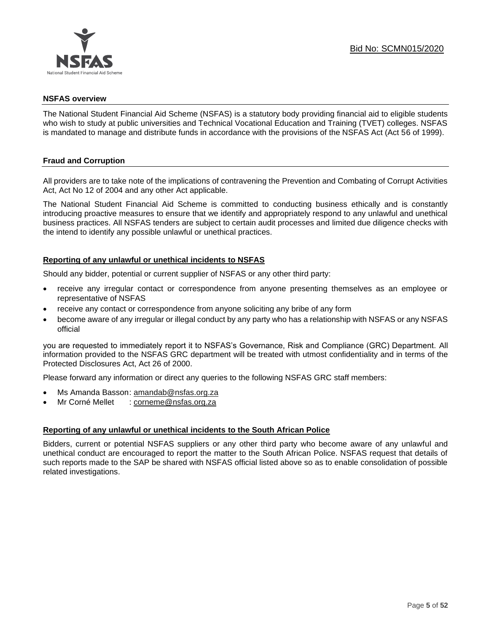

#### **NSFAS overview**

The National Student Financial Aid Scheme (NSFAS) is a statutory body providing financial aid to eligible students who wish to study at public universities and Technical Vocational Education and Training (TVET) colleges. NSFAS is mandated to manage and distribute funds in accordance with the provisions of the NSFAS Act (Act 56 of 1999).

# **Fraud and Corruption**

All providers are to take note of the implications of contravening the Prevention and Combating of Corrupt Activities Act, Act No 12 of 2004 and any other Act applicable.

The National Student Financial Aid Scheme is committed to conducting business ethically and is constantly introducing proactive measures to ensure that we identify and appropriately respond to any unlawful and unethical business practices. All NSFAS tenders are subject to certain audit processes and limited due diligence checks with the intend to identify any possible unlawful or unethical practices.

# **Reporting of any unlawful or unethical incidents to NSFAS**

Should any bidder, potential or current supplier of NSFAS or any other third party:

- receive any irregular contact or correspondence from anyone presenting themselves as an employee or representative of NSFAS
- receive any contact or correspondence from anyone soliciting any bribe of any form
- become aware of any irregular or illegal conduct by any party who has a relationship with NSFAS or any NSFAS official

you are requested to immediately report it to NSFAS's Governance, Risk and Compliance (GRC) Department. All information provided to the NSFAS GRC department will be treated with utmost confidentiality and in terms of the Protected Disclosures Act, Act 26 of 2000.

Please forward any information or direct any queries to the following NSFAS GRC staff members:

- Ms Amanda Basson: [amandab@nsfas.org.za](mailto:amandab@nsfas.org.za)
- Mr Corné Mellet : [corneme@nsfas.org.za](mailto:corneme@nsfas.org.za)

#### **Reporting of any unlawful or unethical incidents to the South African Police**

Bidders, current or potential NSFAS suppliers or any other third party who become aware of any unlawful and unethical conduct are encouraged to report the matter to the South African Police. NSFAS request that details of such reports made to the SAP be shared with NSFAS official listed above so as to enable consolidation of possible related investigations.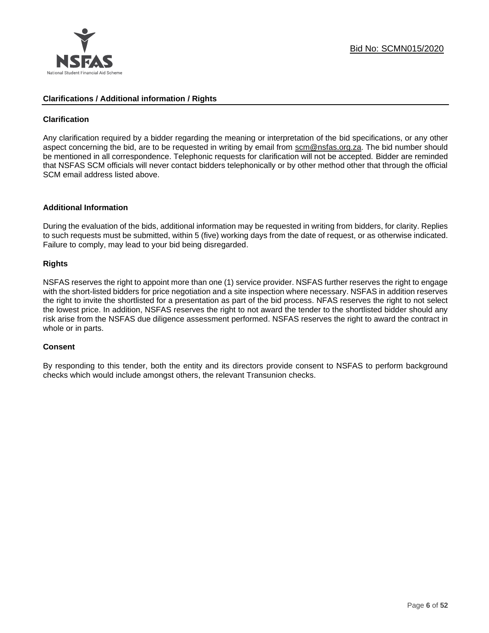

# **Clarifications / Additional information / Rights**

# **Clarification**

Any clarification required by a bidder regarding the meaning or interpretation of the bid specifications, or any other aspect concerning the bid, are to be requested in writing by email from scm@nsfas.org.za. The bid number should be mentioned in all correspondence. Telephonic requests for clarification will not be accepted. Bidder are reminded that NSFAS SCM officials will never contact bidders telephonically or by other method other that through the official SCM email address listed above.

#### **Additional Information**

During the evaluation of the bids, additional information may be requested in writing from bidders, for clarity. Replies to such requests must be submitted, within 5 (five) working days from the date of request, or as otherwise indicated. Failure to comply, may lead to your bid being disregarded.

# **Rights**

NSFAS reserves the right to appoint more than one (1) service provider. NSFAS further reserves the right to engage with the short-listed bidders for price negotiation and a site inspection where necessary. NSFAS in addition reserves the right to invite the shortlisted for a presentation as part of the bid process. NFAS reserves the right to not select the lowest price. In addition, NSFAS reserves the right to not award the tender to the shortlisted bidder should any risk arise from the NSFAS due diligence assessment performed. NSFAS reserves the right to award the contract in whole or in parts.

#### **Consent**

By responding to this tender, both the entity and its directors provide consent to NSFAS to perform background checks which would include amongst others, the relevant Transunion checks.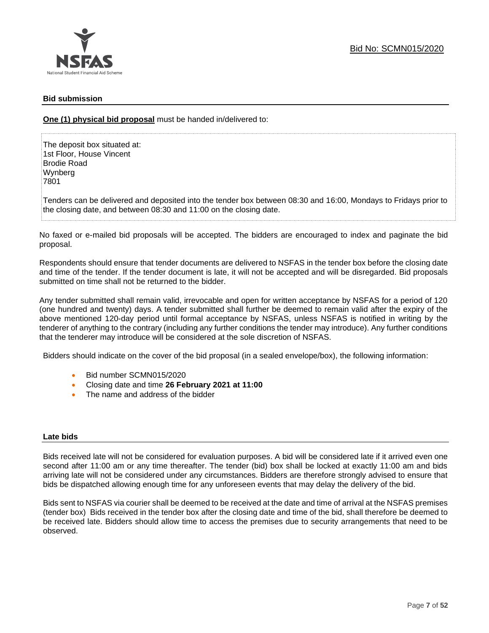# **Bid submission**

**One (1) physical bid proposal** must be handed in/delivered to:

The deposit box situated at: 1st Floor, House Vincent Brodie Road Wynberg 7801

Tenders can be delivered and deposited into the tender box between 08:30 and 16:00, Mondays to Fridays prior to the closing date, and between 08:30 and 11:00 on the closing date.

No faxed or e-mailed bid proposals will be accepted. The bidders are encouraged to index and paginate the bid proposal.

Respondents should ensure that tender documents are delivered to NSFAS in the tender box before the closing date and time of the tender. If the tender document is late, it will not be accepted and will be disregarded. Bid proposals submitted on time shall not be returned to the bidder.

Any tender submitted shall remain valid, irrevocable and open for written acceptance by NSFAS for a period of 120 (one hundred and twenty) days. A tender submitted shall further be deemed to remain valid after the expiry of the above mentioned 120-day period until formal acceptance by NSFAS, unless NSFAS is notified in writing by the tenderer of anything to the contrary (including any further conditions the tender may introduce). Any further conditions that the tenderer may introduce will be considered at the sole discretion of NSFAS.

Bidders should indicate on the cover of the bid proposal (in a sealed envelope/box), the following information:

- Bid number SCMN015/2020
- Closing date and time **26 February 2021 at 11:00**
- The name and address of the bidder

#### **Late bids**

Bids received late will not be considered for evaluation purposes. A bid will be considered late if it arrived even one second after 11:00 am or any time thereafter. The tender (bid) box shall be locked at exactly 11:00 am and bids arriving late will not be considered under any circumstances. Bidders are therefore strongly advised to ensure that bids be dispatched allowing enough time for any unforeseen events that may delay the delivery of the bid.

Bids sent to NSFAS via courier shall be deemed to be received at the date and time of arrival at the NSFAS premises (tender box) Bids received in the tender box after the closing date and time of the bid, shall therefore be deemed to be received late. Bidders should allow time to access the premises due to security arrangements that need to be observed.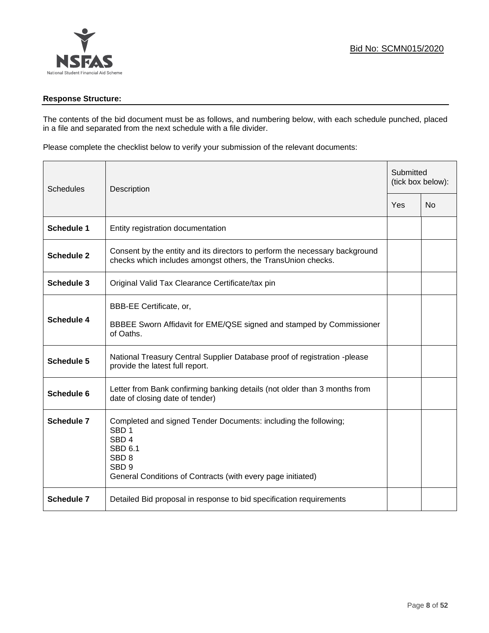

# **Response Structure:**

The contents of the bid document must be as follows, and numbering below, with each schedule punched, placed in a file and separated from the next schedule with a file divider.

Please complete the checklist below to verify your submission of the relevant documents:

| Schedules         | Description                                                                                                                                                                                                                      |  | Submitted<br>(tick box below): |  |  |
|-------------------|----------------------------------------------------------------------------------------------------------------------------------------------------------------------------------------------------------------------------------|--|--------------------------------|--|--|
|                   |                                                                                                                                                                                                                                  |  | N <sub>0</sub>                 |  |  |
| <b>Schedule 1</b> | Entity registration documentation                                                                                                                                                                                                |  |                                |  |  |
| <b>Schedule 2</b> | Consent by the entity and its directors to perform the necessary background<br>checks which includes amongst others, the TransUnion checks.                                                                                      |  |                                |  |  |
| Schedule 3        | Original Valid Tax Clearance Certificate/tax pin                                                                                                                                                                                 |  |                                |  |  |
| Schedule 4        | BBB-EE Certificate, or,<br>BBBEE Sworn Affidavit for EME/QSE signed and stamped by Commissioner<br>of Oaths.                                                                                                                     |  |                                |  |  |
| Schedule 5        | National Treasury Central Supplier Database proof of registration -please<br>provide the latest full report.                                                                                                                     |  |                                |  |  |
| Schedule 6        | Letter from Bank confirming banking details (not older than 3 months from<br>date of closing date of tender)                                                                                                                     |  |                                |  |  |
| <b>Schedule 7</b> | Completed and signed Tender Documents: including the following;<br>SBD <sub>1</sub><br>SBD <sub>4</sub><br><b>SBD 6.1</b><br>SBD <sub>8</sub><br>SBD <sub>9</sub><br>General Conditions of Contracts (with every page initiated) |  |                                |  |  |
| <b>Schedule 7</b> | Detailed Bid proposal in response to bid specification requirements                                                                                                                                                              |  |                                |  |  |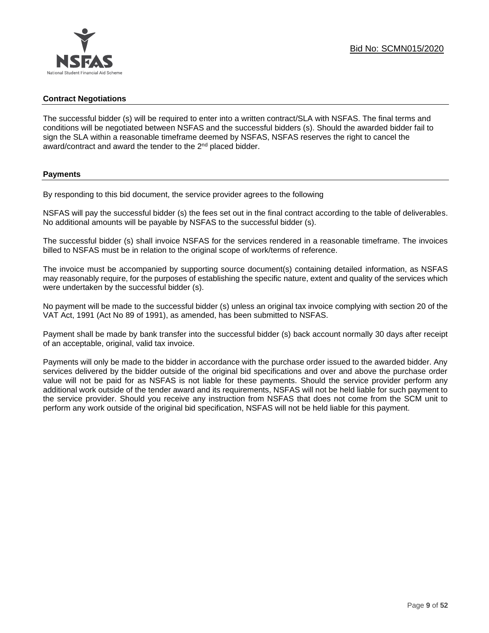# **Contract Negotiations**

The successful bidder (s) will be required to enter into a written contract/SLA with NSFAS. The final terms and conditions will be negotiated between NSFAS and the successful bidders (s). Should the awarded bidder fail to sign the SLA within a reasonable timeframe deemed by NSFAS, NSFAS reserves the right to cancel the award/contract and award the tender to the 2<sup>nd</sup> placed bidder.

# **Payments**

By responding to this bid document, the service provider agrees to the following

NSFAS will pay the successful bidder (s) the fees set out in the final contract according to the table of deliverables. No additional amounts will be payable by NSFAS to the successful bidder (s).

The successful bidder (s) shall invoice NSFAS for the services rendered in a reasonable timeframe. The invoices billed to NSFAS must be in relation to the original scope of work/terms of reference.

The invoice must be accompanied by supporting source document(s) containing detailed information, as NSFAS may reasonably require, for the purposes of establishing the specific nature, extent and quality of the services which were undertaken by the successful bidder (s).

No payment will be made to the successful bidder (s) unless an original tax invoice complying with section 20 of the VAT Act, 1991 (Act No 89 of 1991), as amended, has been submitted to NSFAS.

Payment shall be made by bank transfer into the successful bidder (s) back account normally 30 days after receipt of an acceptable, original, valid tax invoice.

Payments will only be made to the bidder in accordance with the purchase order issued to the awarded bidder. Any services delivered by the bidder outside of the original bid specifications and over and above the purchase order value will not be paid for as NSFAS is not liable for these payments. Should the service provider perform any additional work outside of the tender award and its requirements, NSFAS will not be held liable for such payment to the service provider. Should you receive any instruction from NSFAS that does not come from the SCM unit to perform any work outside of the original bid specification, NSFAS will not be held liable for this payment.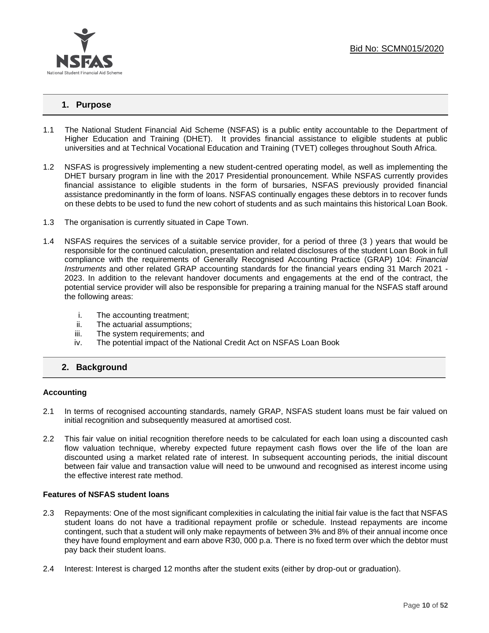

# **1. Purpose**

- 1.1 The National Student Financial Aid Scheme (NSFAS) is a public entity accountable to the Department of Higher Education and Training (DHET). It provides financial assistance to eligible students at public universities and at Technical Vocational Education and Training (TVET) colleges throughout South Africa.
- 1.2 NSFAS is progressively implementing a new student-centred operating model, as well as implementing the DHET bursary program in line with the 2017 Presidential pronouncement. While NSFAS currently provides financial assistance to eligible students in the form of bursaries, NSFAS previously provided financial assistance predominantly in the form of loans. NSFAS continually engages these debtors in to recover funds on these debts to be used to fund the new cohort of students and as such maintains this historical Loan Book.
- 1.3 The organisation is currently situated in Cape Town.
- 1.4 NSFAS requires the services of a suitable service provider, for a period of three (3 ) years that would be responsible for the continued calculation, presentation and related disclosures of the student Loan Book in full compliance with the requirements of Generally Recognised Accounting Practice (GRAP) 104: *Financial Instruments* and other related GRAP accounting standards for the financial years ending 31 March 2021 - 2023. In addition to the relevant handover documents and engagements at the end of the contract, the potential service provider will also be responsible for preparing a training manual for the NSFAS staff around the following areas:
	- i. The accounting treatment;
	- ii. The actuarial assumptions;
	- iii. The system requirements; and
	- iv. The potential impact of the National Credit Act on NSFAS Loan Book

# **2. Background**

#### **Accounting**

- 2.1 In terms of recognised accounting standards, namely GRAP, NSFAS student loans must be fair valued on initial recognition and subsequently measured at amortised cost.
- 2.2 This fair value on initial recognition therefore needs to be calculated for each loan using a discounted cash flow valuation technique, whereby expected future repayment cash flows over the life of the loan are discounted using a market related rate of interest. In subsequent accounting periods, the initial discount between fair value and transaction value will need to be unwound and recognised as interest income using the effective interest rate method.

#### **Features of NSFAS student loans**

- 2.3 Repayments: One of the most significant complexities in calculating the initial fair value is the fact that NSFAS student loans do not have a traditional repayment profile or schedule. Instead repayments are income contingent, such that a student will only make repayments of between 3% and 8% of their annual income once they have found employment and earn above R30, 000 p.a. There is no fixed term over which the debtor must pay back their student loans.
- 2.4 Interest: Interest is charged 12 months after the student exits (either by drop-out or graduation).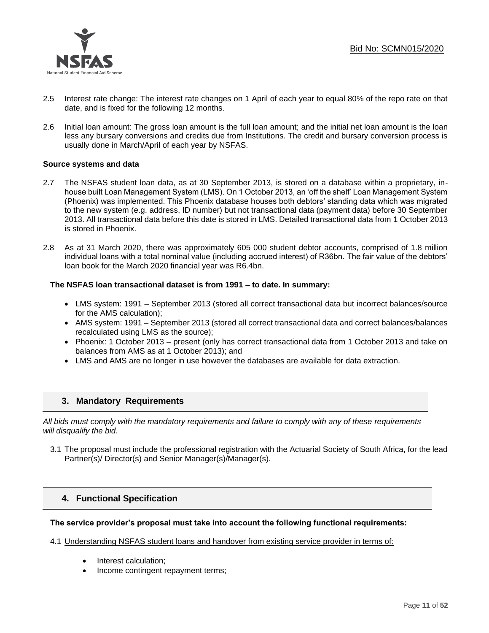

- 2.5 Interest rate change: The interest rate changes on 1 April of each year to equal 80% of the repo rate on that date, and is fixed for the following 12 months.
- 2.6 Initial loan amount: The gross loan amount is the full loan amount; and the initial net loan amount is the loan less any bursary conversions and credits due from Institutions. The credit and bursary conversion process is usually done in March/April of each year by NSFAS.

# **Source systems and data**

- 2.7 The NSFAS student loan data, as at 30 September 2013, is stored on a database within a proprietary, inhouse built Loan Management System (LMS). On 1 October 2013, an 'off the shelf' Loan Management System (Phoenix) was implemented. This Phoenix database houses both debtors' standing data which was migrated to the new system (e.g. address, ID number) but not transactional data (payment data) before 30 September 2013. All transactional data before this date is stored in LMS. Detailed transactional data from 1 October 2013 is stored in Phoenix.
- 2.8 As at 31 March 2020, there was approximately 605 000 student debtor accounts, comprised of 1.8 million individual loans with a total nominal value (including accrued interest) of R36bn. The fair value of the debtors' loan book for the March 2020 financial year was R6.4bn.

#### **The NSFAS loan transactional dataset is from 1991 – to date. In summary:**

- LMS system: 1991 September 2013 (stored all correct transactional data but incorrect balances/source for the AMS calculation);
- AMS system: 1991 September 2013 (stored all correct transactional data and correct balances/balances recalculated using LMS as the source);
- Phoenix: 1 October 2013 present (only has correct transactional data from 1 October 2013 and take on balances from AMS as at 1 October 2013); and
- LMS and AMS are no longer in use however the databases are available for data extraction.

# **3. Mandatory Requirements**

*All bids must comply with the mandatory requirements and failure to comply with any of these requirements will disqualify the bid.*

3.1 The proposal must include the professional registration with the Actuarial Society of South Africa, for the lead Partner(s)/ Director(s) and Senior Manager(s)/Manager(s).

# **4. Functional Specification**

#### **The service provider's proposal must take into account the following functional requirements:**

#### 4.1 Understanding NSFAS student loans and handover from existing service provider in terms of:

- Interest calculation;
- Income contingent repayment terms;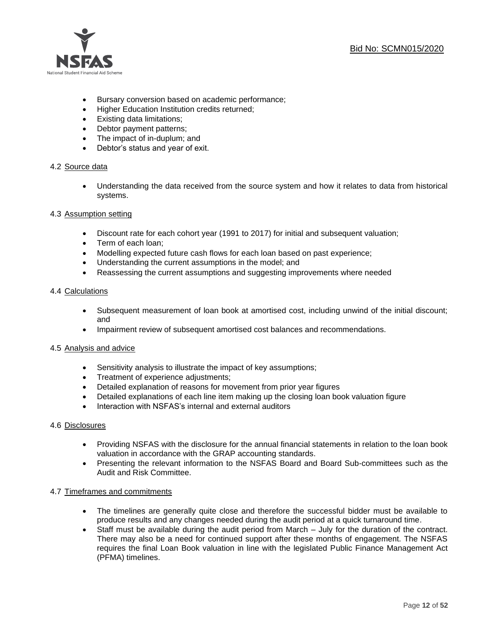

- Bursary conversion based on academic performance;
- Higher Education Institution credits returned;
- Existing data limitations;
- Debtor payment patterns;
- The impact of in-duplum; and
- Debtor's status and year of exit.

# 4.2 Source data

• Understanding the data received from the source system and how it relates to data from historical systems.

# 4.3 Assumption setting

- Discount rate for each cohort year (1991 to 2017) for initial and subsequent valuation;
- Term of each loan;
- Modelling expected future cash flows for each loan based on past experience;
- Understanding the current assumptions in the model; and
- Reassessing the current assumptions and suggesting improvements where needed

# 4.4 Calculations

- Subsequent measurement of loan book at amortised cost, including unwind of the initial discount; and
- Impairment review of subsequent amortised cost balances and recommendations.

# 4.5 Analysis and advice

- Sensitivity analysis to illustrate the impact of key assumptions;
- Treatment of experience adjustments;
- Detailed explanation of reasons for movement from prior year figures
- Detailed explanations of each line item making up the closing loan book valuation figure
- Interaction with NSFAS's internal and external auditors

#### 4.6 Disclosures

- Providing NSFAS with the disclosure for the annual financial statements in relation to the loan book valuation in accordance with the GRAP accounting standards.
- Presenting the relevant information to the NSFAS Board and Board Sub-committees such as the Audit and Risk Committee.

#### 4.7 Timeframes and commitments

- The timelines are generally quite close and therefore the successful bidder must be available to produce results and any changes needed during the audit period at a quick turnaround time.
- Staff must be available during the audit period from March July for the duration of the contract. There may also be a need for continued support after these months of engagement. The NSFAS requires the final Loan Book valuation in line with the legislated Public Finance Management Act (PFMA) timelines.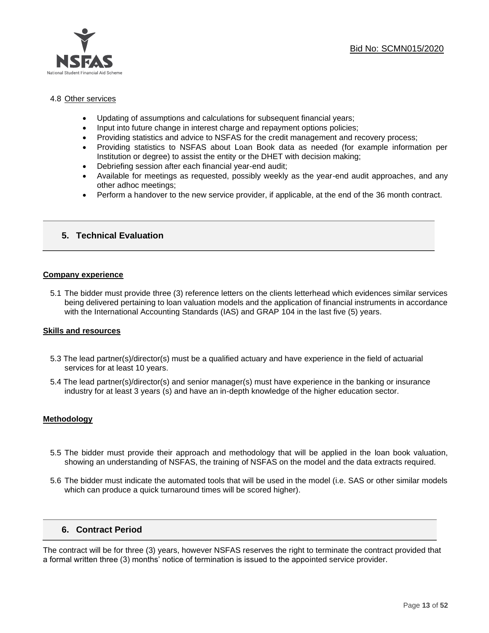

# 4.8 Other services

- Updating of assumptions and calculations for subsequent financial years;
- Input into future change in interest charge and repayment options policies;
- Providing statistics and advice to NSFAS for the credit management and recovery process;
- Providing statistics to NSFAS about Loan Book data as needed (for example information per Institution or degree) to assist the entity or the DHET with decision making;
- Debriefing session after each financial year-end audit;
- Available for meetings as requested, possibly weekly as the year-end audit approaches, and any other adhoc meetings;
- Perform a handover to the new service provider, if applicable, at the end of the 36 month contract.

# **5. Technical Evaluation**

#### **Company experience**

5.1 The bidder must provide three (3) reference letters on the clients letterhead which evidences similar services being delivered pertaining to loan valuation models and the application of financial instruments in accordance with the International Accounting Standards (IAS) and GRAP 104 in the last five (5) years.

#### **Skills and resources**

- 5.3 The lead partner(s)/director(s) must be a qualified actuary and have experience in the field of actuarial services for at least 10 years.
- 5.4 The lead partner(s)/director(s) and senior manager(s) must have experience in the banking or insurance industry for at least 3 years (s) and have an in-depth knowledge of the higher education sector.

#### **Methodology**

- 5.5 The bidder must provide their approach and methodology that will be applied in the loan book valuation, showing an understanding of NSFAS, the training of NSFAS on the model and the data extracts required.
- 5.6 The bidder must indicate the automated tools that will be used in the model (i.e. SAS or other similar models which can produce a quick turnaround times will be scored higher).

# **6. Contract Period**

The contract will be for three (3) years, however NSFAS reserves the right to terminate the contract provided that a formal written three (3) months' notice of termination is issued to the appointed service provider.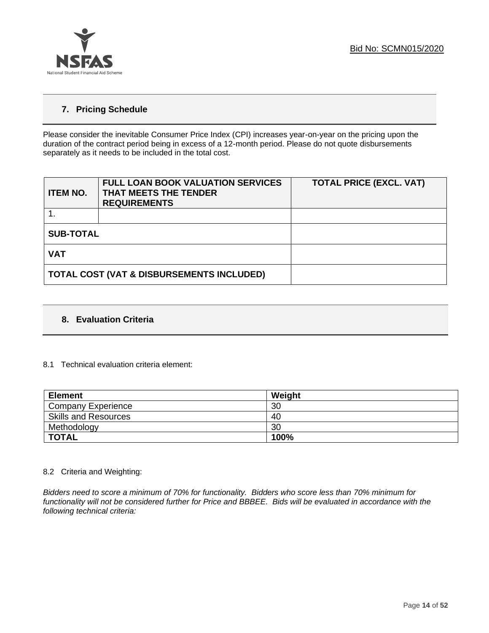

# **7. Pricing Schedule**

Please consider the inevitable Consumer Price Index (CPI) increases year-on-year on the pricing upon the duration of the contract period being in excess of a 12-month period. Please do not quote disbursements separately as it needs to be included in the total cost.

| <b>ITEM NO.</b>  | <b>FULL LOAN BOOK VALUATION SERVICES</b><br>THAT MEETS THE TENDER<br><b>REQUIREMENTS</b> | <b>TOTAL PRICE (EXCL. VAT)</b> |  |  |  |
|------------------|------------------------------------------------------------------------------------------|--------------------------------|--|--|--|
|                  |                                                                                          |                                |  |  |  |
| <b>SUB-TOTAL</b> |                                                                                          |                                |  |  |  |
| <b>VAT</b>       |                                                                                          |                                |  |  |  |
|                  | TOTAL COST (VAT & DISBURSEMENTS INCLUDED)                                                |                                |  |  |  |

# **8. Evaluation Criteria**

# 8.1 Technical evaluation criteria element:

| <b>Element</b>              | Weight |
|-----------------------------|--------|
| <b>Company Experience</b>   | 30     |
| <b>Skills and Resources</b> | 40     |
| Methodology                 | 30     |
| <b>TOTAL</b>                | 100%   |

# 8.2 Criteria and Weighting:

*Bidders need to score a minimum of 70% for functionality. Bidders who score less than 70% minimum for functionality will not be considered further for Price and BBBEE. Bids will be evaluated in accordance with the following technical criteria:*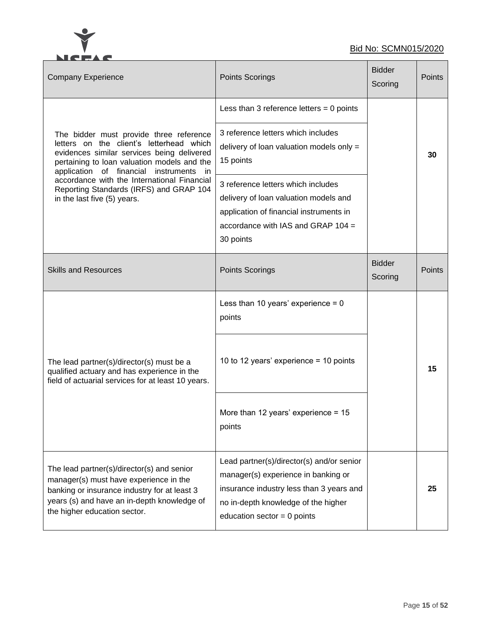

# Bid No: SCMN015/2020

| <b>Company Experience</b>                                                                                                                                                                                                                                                                                                                                | Points Scorings                                                                                                                                                                                      | <b>Bidder</b><br>Scoring | Points |
|----------------------------------------------------------------------------------------------------------------------------------------------------------------------------------------------------------------------------------------------------------------------------------------------------------------------------------------------------------|------------------------------------------------------------------------------------------------------------------------------------------------------------------------------------------------------|--------------------------|--------|
|                                                                                                                                                                                                                                                                                                                                                          | Less than 3 reference letters = $0$ points<br>3 reference letters which includes                                                                                                                     |                          |        |
| The bidder must provide three reference<br>letters on the client's letterhead which<br>evidences similar services being delivered<br>pertaining to loan valuation models and the<br>application of financial instruments<br>in.<br>accordance with the International Financial<br>Reporting Standards (IRFS) and GRAP 104<br>in the last five (5) years. | delivery of loan valuation models only =<br>15 points                                                                                                                                                |                          | 30     |
|                                                                                                                                                                                                                                                                                                                                                          | 3 reference letters which includes<br>delivery of loan valuation models and<br>application of financial instruments in<br>accordance with IAS and GRAP $104 =$<br>30 points                          |                          |        |
| <b>Skills and Resources</b>                                                                                                                                                                                                                                                                                                                              | Points Scorings                                                                                                                                                                                      | <b>Bidder</b><br>Scoring | Points |
|                                                                                                                                                                                                                                                                                                                                                          | Less than 10 years' experience = $0$<br>points                                                                                                                                                       |                          |        |
| The lead partner(s)/director(s) must be a<br>qualified actuary and has experience in the<br>field of actuarial services for at least 10 years.                                                                                                                                                                                                           | 10 to 12 years' experience = 10 points                                                                                                                                                               |                          | 15     |
|                                                                                                                                                                                                                                                                                                                                                          | More than 12 years' experience = $15$<br>points                                                                                                                                                      |                          |        |
| The lead partner(s)/director(s) and senior<br>manager(s) must have experience in the<br>banking or insurance industry for at least 3<br>years (s) and have an in-depth knowledge of<br>the higher education sector.                                                                                                                                      | Lead partner(s)/director(s) and/or senior<br>manager(s) experience in banking or<br>insurance industry less than 3 years and<br>no in-depth knowledge of the higher<br>education sector = $0$ points |                          | 25     |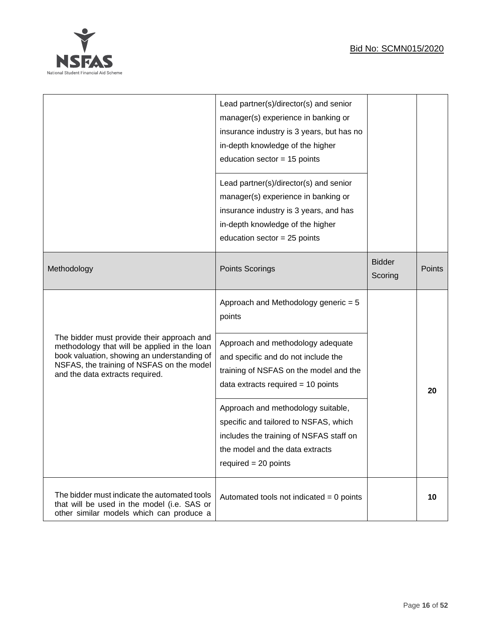# Bid No: SCMN015/2020



|                                                                                                                                                                                                                           | Lead partner(s)/director(s) and senior<br>manager(s) experience in banking or<br>insurance industry is 3 years, but has no<br>in-depth knowledge of the higher<br>education sector = $15$ points                                                                                                                                                                                                    |                          |        |
|---------------------------------------------------------------------------------------------------------------------------------------------------------------------------------------------------------------------------|-----------------------------------------------------------------------------------------------------------------------------------------------------------------------------------------------------------------------------------------------------------------------------------------------------------------------------------------------------------------------------------------------------|--------------------------|--------|
|                                                                                                                                                                                                                           | Lead partner(s)/director(s) and senior<br>manager(s) experience in banking or<br>insurance industry is 3 years, and has<br>in-depth knowledge of the higher<br>education sector = $25$ points                                                                                                                                                                                                       |                          |        |
| Methodology                                                                                                                                                                                                               | <b>Points Scorings</b>                                                                                                                                                                                                                                                                                                                                                                              | <b>Bidder</b><br>Scoring | Points |
| The bidder must provide their approach and<br>methodology that will be applied in the loan<br>book valuation, showing an understanding of<br>NSFAS, the training of NSFAS on the model<br>and the data extracts required. | Approach and Methodology generic = 5<br>points<br>Approach and methodology adequate<br>and specific and do not include the<br>training of NSFAS on the model and the<br>data extracts required $= 10$ points<br>Approach and methodology suitable,<br>specific and tailored to NSFAS, which<br>includes the training of NSFAS staff on<br>the model and the data extracts<br>required $= 20$ points |                          | 20     |
| The bidder must indicate the automated tools<br>that will be used in the model (i.e. SAS or<br>other similar models which can produce a                                                                                   | Automated tools not indicated $= 0$ points                                                                                                                                                                                                                                                                                                                                                          |                          | 10     |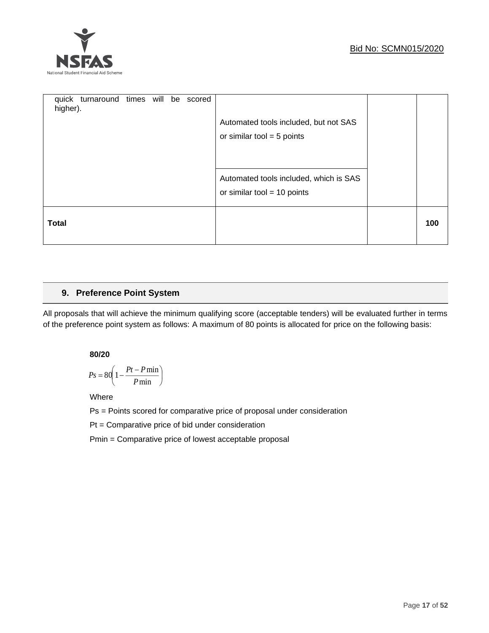

| higher).     | quick turnaround times will be |  | scored | Automated tools included, but not SAS<br>or similar tool = $5$ points   |     |
|--------------|--------------------------------|--|--------|-------------------------------------------------------------------------|-----|
|              |                                |  |        | Automated tools included, which is SAS<br>or similar tool = $10$ points |     |
| <b>Total</b> |                                |  |        |                                                                         | 100 |

# **9. Preference Point System**

All proposals that will achieve the minimum qualifying score (acceptable tenders) will be evaluated further in terms of the preference point system as follows: A maximum of 80 points is allocated for price on the following basis:

# **80/20**

$$
Ps = 80 \left( 1 - \frac{Pt - P \min}{P \min} \right)
$$

Where

Ps = Points scored for comparative price of proposal under consideration

Pt = Comparative price of bid under consideration

Pmin = Comparative price of lowest acceptable proposal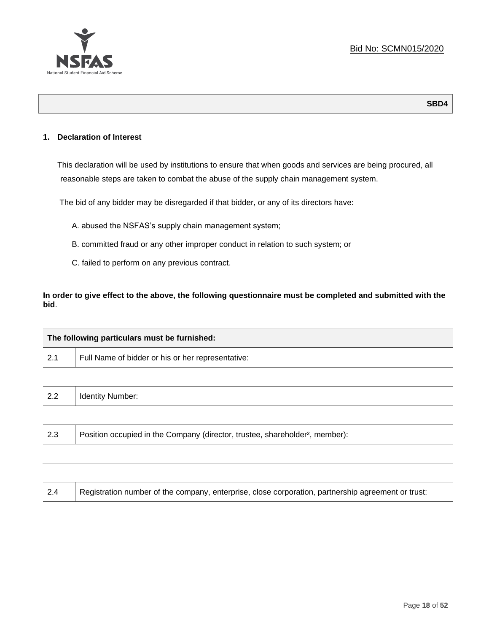

# **1. Declaration of Interest**

This declaration will be used by institutions to ensure that when goods and services are being procured, all reasonable steps are taken to combat the abuse of the supply chain management system.

The bid of any bidder may be disregarded if that bidder, or any of its directors have:

- A. abused the NSFAS's supply chain management system;
- B. committed fraud or any other improper conduct in relation to such system; or
- C. failed to perform on any previous contract.

**In order to give effect to the above, the following questionnaire must be completed and submitted with the bid**.

|     | The following particulars must be furnished:                                             |  |  |  |  |
|-----|------------------------------------------------------------------------------------------|--|--|--|--|
| 2.1 | Full Name of bidder or his or her representative:                                        |  |  |  |  |
|     |                                                                                          |  |  |  |  |
| 2.2 | <b>Identity Number:</b>                                                                  |  |  |  |  |
|     |                                                                                          |  |  |  |  |
| 2.3 | Position occupied in the Company (director, trustee, shareholder <sup>2</sup> , member): |  |  |  |  |
|     |                                                                                          |  |  |  |  |

| Registration number of the company, enterprise, close corporation, partnership agreement or trust:<br>2.4 |
|-----------------------------------------------------------------------------------------------------------|
|-----------------------------------------------------------------------------------------------------------|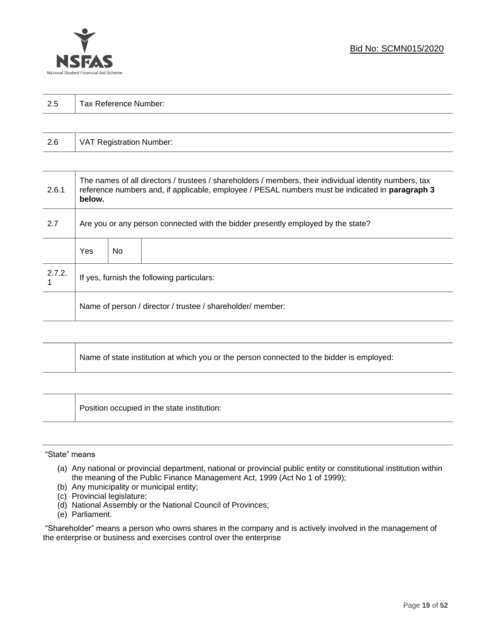

| 2.5 | Τ.<br>Tax Reference Number: |
|-----|-----------------------------|
|     |                             |

| 2.6 | VAT Registration Number: |
|-----|--------------------------|
|-----|--------------------------|

| 2.6.1  | The names of all directors / trustees / shareholders / members, their individual identity numbers, tax<br>reference numbers and, if applicable, employee / PESAL numbers must be indicated in paragraph 3<br>below. |     |  |  |
|--------|---------------------------------------------------------------------------------------------------------------------------------------------------------------------------------------------------------------------|-----|--|--|
| 2.7    | Are you or any person connected with the bidder presently employed by the state?                                                                                                                                    |     |  |  |
|        | Yes                                                                                                                                                                                                                 | No. |  |  |
| 2.7.2. | If yes, furnish the following particulars:                                                                                                                                                                          |     |  |  |
|        | Name of person / director / trustee / shareholder/ member:                                                                                                                                                          |     |  |  |

| Name of state institution at which you or the person connected to the bidder is employed: |
|-------------------------------------------------------------------------------------------|
|                                                                                           |

Position occupied in the state institution:

#### "State" means

┱

- (a) Any national or provincial department, national or provincial public entity or constitutional institution within the meaning of the Public Finance Management Act, 1999 (Act No 1 of 1999);
- (b) Any municipality or municipal entity;
- (c) Provincial legislature;
- (d) National Assembly or the National Council of Provinces;
- (e) Parliament.

"Shareholder" means a person who owns shares in the company and is actively involved in the management of the enterprise or business and exercises control over the enterprise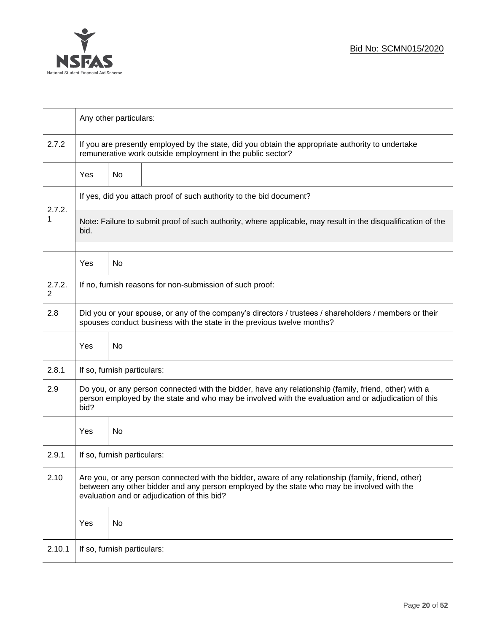

|                          | Any other particulars:                                                                                                                                                                                                                           |    |                                                                                                              |  |  |  |
|--------------------------|--------------------------------------------------------------------------------------------------------------------------------------------------------------------------------------------------------------------------------------------------|----|--------------------------------------------------------------------------------------------------------------|--|--|--|
| 2.7.2                    | If you are presently employed by the state, did you obtain the appropriate authority to undertake<br>remunerative work outside employment in the public sector?                                                                                  |    |                                                                                                              |  |  |  |
|                          | Yes                                                                                                                                                                                                                                              | No |                                                                                                              |  |  |  |
|                          | If yes, did you attach proof of such authority to the bid document?                                                                                                                                                                              |    |                                                                                                              |  |  |  |
| 2.7.2.<br>1              | bid.                                                                                                                                                                                                                                             |    | Note: Failure to submit proof of such authority, where applicable, may result in the disqualification of the |  |  |  |
|                          | Yes                                                                                                                                                                                                                                              | No |                                                                                                              |  |  |  |
| 2.7.2.<br>$\overline{2}$ |                                                                                                                                                                                                                                                  |    | If no, furnish reasons for non-submission of such proof:                                                     |  |  |  |
| 2.8                      | Did you or your spouse, or any of the company's directors / trustees / shareholders / members or their<br>spouses conduct business with the state in the previous twelve months?                                                                 |    |                                                                                                              |  |  |  |
|                          | Yes                                                                                                                                                                                                                                              | No |                                                                                                              |  |  |  |
| 2.8.1                    | If so, furnish particulars:                                                                                                                                                                                                                      |    |                                                                                                              |  |  |  |
| 2.9                      | Do you, or any person connected with the bidder, have any relationship (family, friend, other) with a<br>person employed by the state and who may be involved with the evaluation and or adjudication of this<br>bid?                            |    |                                                                                                              |  |  |  |
|                          | Yes                                                                                                                                                                                                                                              | No |                                                                                                              |  |  |  |
| 2.9.1                    | If so, furnish particulars:                                                                                                                                                                                                                      |    |                                                                                                              |  |  |  |
| 2.10                     | Are you, or any person connected with the bidder, aware of any relationship (family, friend, other)<br>between any other bidder and any person employed by the state who may be involved with the<br>evaluation and or adjudication of this bid? |    |                                                                                                              |  |  |  |
|                          | Yes                                                                                                                                                                                                                                              | No |                                                                                                              |  |  |  |
| 2.10.1                   | If so, furnish particulars:                                                                                                                                                                                                                      |    |                                                                                                              |  |  |  |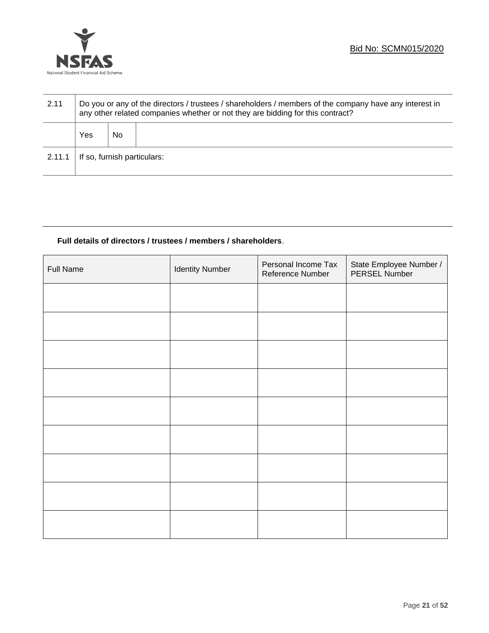

| 2.11   | Do you or any of the directors / trustees / shareholders / members of the company have any interest in<br>any other related companies whether or not they are bidding for this contract? |    |  |  |
|--------|------------------------------------------------------------------------------------------------------------------------------------------------------------------------------------------|----|--|--|
|        | Yes                                                                                                                                                                                      | No |  |  |
| 2.11.1 | If so, furnish particulars:                                                                                                                                                              |    |  |  |

# **Full details of directors / trustees / members / shareholders**.

| <b>Full Name</b> | <b>Identity Number</b> | Personal Income Tax<br>Reference Number | State Employee Number /<br>PERSEL Number |
|------------------|------------------------|-----------------------------------------|------------------------------------------|
|                  |                        |                                         |                                          |
|                  |                        |                                         |                                          |
|                  |                        |                                         |                                          |
|                  |                        |                                         |                                          |
|                  |                        |                                         |                                          |
|                  |                        |                                         |                                          |
|                  |                        |                                         |                                          |
|                  |                        |                                         |                                          |
|                  |                        |                                         |                                          |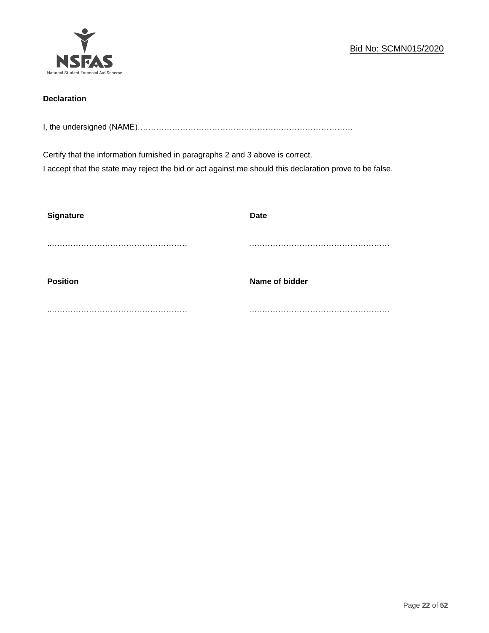

# **Declaration**

I, the undersigned (NAME)………………………………………………………………………

Certify that the information furnished in paragraphs 2 and 3 above is correct. I accept that the state may reject the bid or act against me should this declaration prove to be false.

| <b>Signature</b> | <b>Date</b>    |
|------------------|----------------|
|                  |                |
| <b>Position</b>  | Name of bidder |
|                  |                |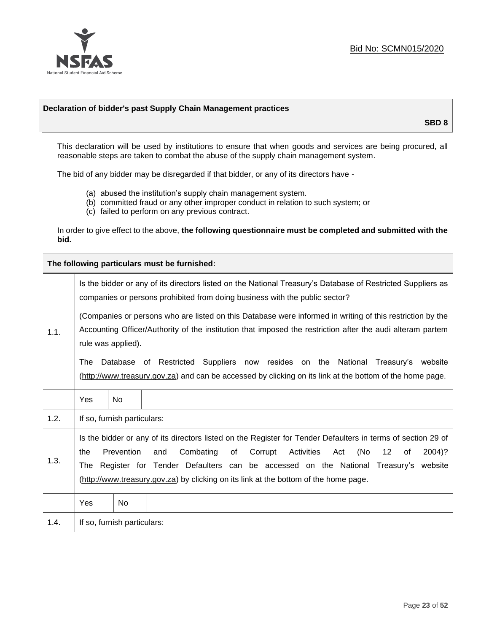

# **Declaration of bidder's past Supply Chain Management practices**

**SBD 8**

This declaration will be used by institutions to ensure that when goods and services are being procured, all reasonable steps are taken to combat the abuse of the supply chain management system.

The bid of any bidder may be disregarded if that bidder, or any of its directors have -

- (a) abused the institution's supply chain management system.
- (b) committed fraud or any other improper conduct in relation to such system; or
- (c) failed to perform on any previous contract.

In order to give effect to the above, **the following questionnaire must be completed and submitted with the bid.**

**The following particulars must be furnished:**

|      | Is the bidder or any of its directors listed on the National Treasury's Database of Restricted Suppliers as<br>companies or persons prohibited from doing business with the public sector?                                                                                                                                                                                                                                  |                             |  |  |  |
|------|-----------------------------------------------------------------------------------------------------------------------------------------------------------------------------------------------------------------------------------------------------------------------------------------------------------------------------------------------------------------------------------------------------------------------------|-----------------------------|--|--|--|
| 1.1. | (Companies or persons who are listed on this Database were informed in writing of this restriction by the<br>Accounting Officer/Authority of the institution that imposed the restriction after the audi alteram partem<br>rule was applied).                                                                                                                                                                               |                             |  |  |  |
|      | Database of Restricted Suppliers now resides on the National<br>The<br>Treasury's website<br>(http://www.treasury.gov.za) and can be accessed by clicking on its link at the bottom of the home page.                                                                                                                                                                                                                       |                             |  |  |  |
|      | Yes                                                                                                                                                                                                                                                                                                                                                                                                                         | No.                         |  |  |  |
| 1.2. |                                                                                                                                                                                                                                                                                                                                                                                                                             | If so, furnish particulars: |  |  |  |
| 1.3. | Is the bidder or any of its directors listed on the Register for Tender Defaulters in terms of section 29 of<br>Prevention<br>Combating<br>Corrupt<br>Activities<br>(No<br>$12 \overline{ }$<br>and<br>of<br>of<br>2004)?<br>the<br>Act<br>Register for Tender Defaulters can be accessed on the National Treasury's website<br>The<br>(http://www.treasury.gov.za) by clicking on its link at the bottom of the home page. |                             |  |  |  |
|      | Yes                                                                                                                                                                                                                                                                                                                                                                                                                         | No.                         |  |  |  |
| 1.4. |                                                                                                                                                                                                                                                                                                                                                                                                                             | If so, furnish particulars: |  |  |  |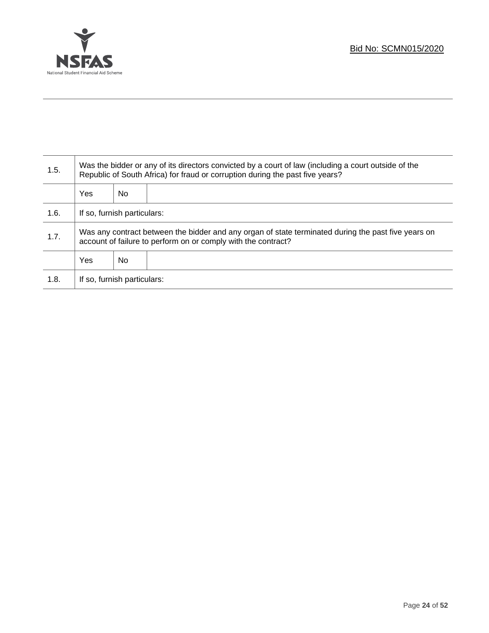

Τ

| 1.5. | Was the bidder or any of its directors convicted by a court of law (including a court outside of the<br>Republic of South Africa) for fraud or corruption during the past five years? |    |  |  |
|------|---------------------------------------------------------------------------------------------------------------------------------------------------------------------------------------|----|--|--|
|      | Yes                                                                                                                                                                                   | No |  |  |
| 1.6. | If so, furnish particulars:                                                                                                                                                           |    |  |  |
| 1.7. | Was any contract between the bidder and any organ of state terminated during the past five years on<br>account of failure to perform on or comply with the contract?                  |    |  |  |
|      | Yes                                                                                                                                                                                   | No |  |  |
| 1.8. | If so, furnish particulars:                                                                                                                                                           |    |  |  |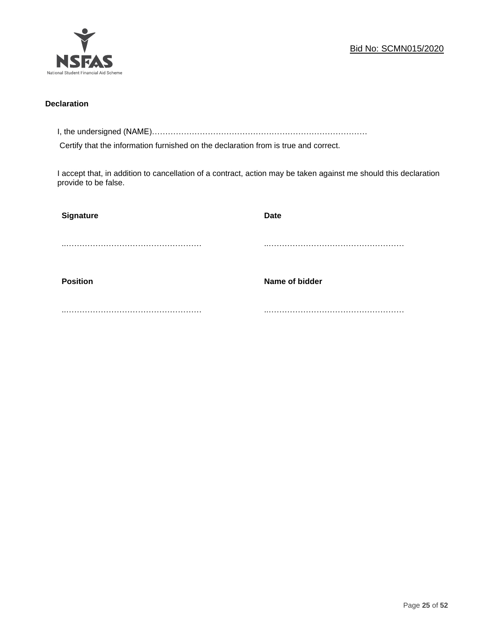

# **Declaration**

I, the undersigned (NAME)………………………………………………………………………

Certify that the information furnished on the declaration from is true and correct.

I accept that, in addition to cancellation of a contract, action may be taken against me should this declaration provide to be false.

| <b>Signature</b> | <b>Date</b>    |
|------------------|----------------|
|                  |                |
| <b>Position</b>  | Name of bidder |
|                  |                |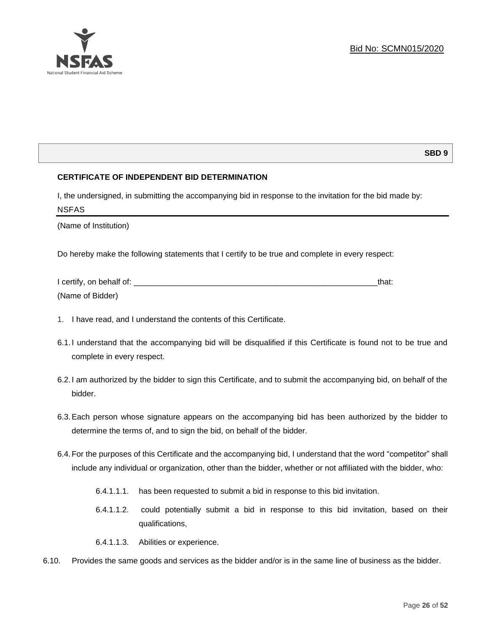

# **SBD 9**

# **CERTIFICATE OF INDEPENDENT BID DETERMINATION**

I, the undersigned, in submitting the accompanying bid in response to the invitation for the bid made by: NSFAS

(Name of Institution)

Do hereby make the following statements that I certify to be true and complete in every respect:

| I certify, on behalf of: |  |
|--------------------------|--|
| (Name of Bidder)         |  |

- 1. I have read, and I understand the contents of this Certificate.
- 6.1.I understand that the accompanying bid will be disqualified if this Certificate is found not to be true and complete in every respect.
- 6.2.I am authorized by the bidder to sign this Certificate, and to submit the accompanying bid, on behalf of the bidder.
- 6.3.Each person whose signature appears on the accompanying bid has been authorized by the bidder to determine the terms of, and to sign the bid, on behalf of the bidder.
- 6.4.For the purposes of this Certificate and the accompanying bid, I understand that the word "competitor" shall include any individual or organization, other than the bidder, whether or not affiliated with the bidder, who:
	- 6.4.1.1.1. has been requested to submit a bid in response to this bid invitation.
	- 6.4.1.1.2. could potentially submit a bid in response to this bid invitation, based on their qualifications,
	- 6.4.1.1.3. Abilities or experience.
- 6.10. Provides the same goods and services as the bidder and/or is in the same line of business as the bidder.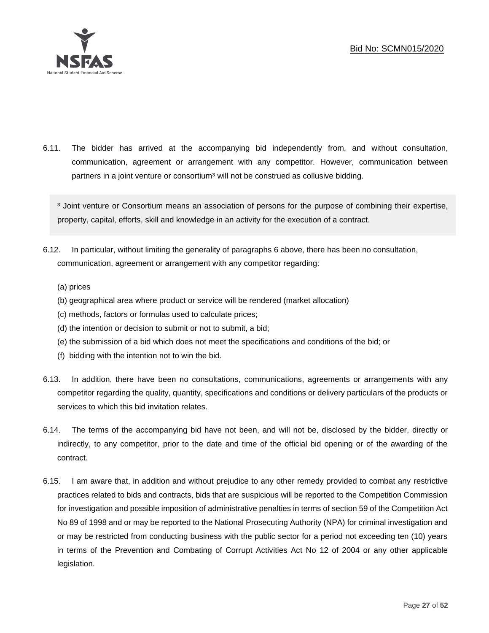

6.11. The bidder has arrived at the accompanying bid independently from, and without consultation, communication, agreement or arrangement with any competitor. However, communication between partners in a joint venture or consortium<sup>3</sup> will not be construed as collusive bidding.

<sup>3</sup> Joint venture or Consortium means an association of persons for the purpose of combining their expertise, property, capital, efforts, skill and knowledge in an activity for the execution of a contract.

- 6.12. In particular, without limiting the generality of paragraphs 6 above, there has been no consultation, communication, agreement or arrangement with any competitor regarding:
	- (a) prices
	- (b) geographical area where product or service will be rendered (market allocation)
	- (c) methods, factors or formulas used to calculate prices;
	- (d) the intention or decision to submit or not to submit, a bid;
	- (e) the submission of a bid which does not meet the specifications and conditions of the bid; or
	- (f) bidding with the intention not to win the bid.
- 6.13. In addition, there have been no consultations, communications, agreements or arrangements with any competitor regarding the quality, quantity, specifications and conditions or delivery particulars of the products or services to which this bid invitation relates.
- 6.14. The terms of the accompanying bid have not been, and will not be, disclosed by the bidder, directly or indirectly, to any competitor, prior to the date and time of the official bid opening or of the awarding of the contract.
- 6.15. I am aware that, in addition and without prejudice to any other remedy provided to combat any restrictive practices related to bids and contracts, bids that are suspicious will be reported to the Competition Commission for investigation and possible imposition of administrative penalties in terms of section 59 of the Competition Act No 89 of 1998 and or may be reported to the National Prosecuting Authority (NPA) for criminal investigation and or may be restricted from conducting business with the public sector for a period not exceeding ten (10) years in terms of the Prevention and Combating of Corrupt Activities Act No 12 of 2004 or any other applicable legislation.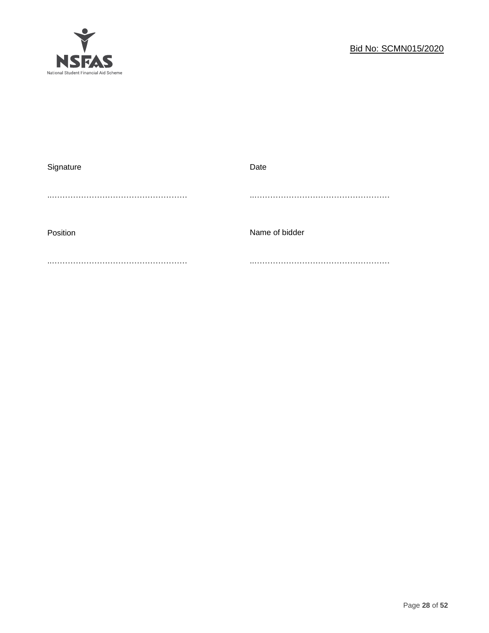

| Signature | Date           |
|-----------|----------------|
|           |                |
|           |                |
|           |                |
| Position  | Name of bidder |
|           |                |
|           |                |
|           |                |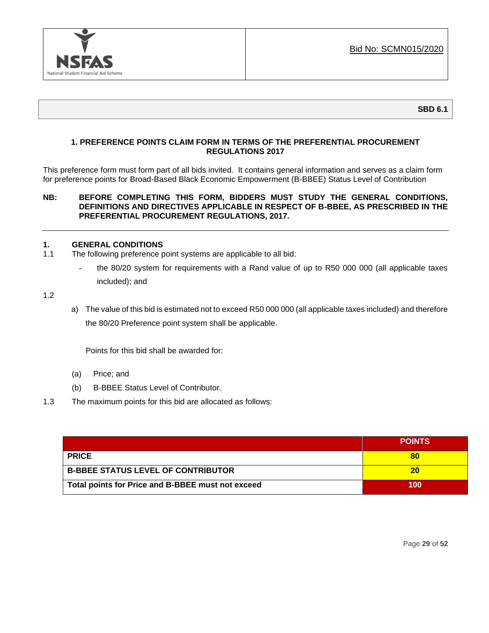

# **1. PREFERENCE POINTS CLAIM FORM IN TERMS OF THE PREFERENTIAL PROCUREMENT REGULATIONS 2017**

This preference form must form part of all bids invited. It contains general information and serves as a claim form for preference points for Broad-Based Black Economic Empowerment (B-BBEE) Status Level of Contribution

# **NB: BEFORE COMPLETING THIS FORM, BIDDERS MUST STUDY THE GENERAL CONDITIONS, DEFINITIONS AND DIRECTIVES APPLICABLE IN RESPECT OF B-BBEE, AS PRESCRIBED IN THE PREFERENTIAL PROCUREMENT REGULATIONS, 2017.**

# **1. GENERAL CONDITIONS**

- 1.1 The following preference point systems are applicable to all bid:
	- the 80/20 system for requirements with a Rand value of up to R50 000 000 (all applicable taxes included); and

1.2

a) The value of this bid is estimated not to exceed R50 000 000 (all applicable taxes included) and therefore the 80/20 Preference point system shall be applicable.

Points for this bid shall be awarded for:

- (a) Price; and
- (b) B-BBEE Status Level of Contributor.
- 1.3 The maximum points for this bid are allocated as follows:

|                                                   | <b>POINTS</b> |
|---------------------------------------------------|---------------|
| <b>PRICE</b>                                      | 80            |
| <b>B-BBEE STATUS LEVEL OF CONTRIBUTOR</b>         | 20            |
| Total points for Price and B-BBEE must not exceed | 100           |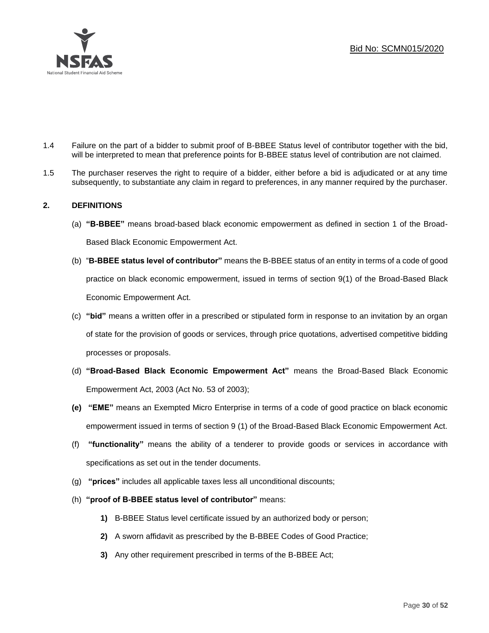

- 1.4 Failure on the part of a bidder to submit proof of B-BBEE Status level of contributor together with the bid, will be interpreted to mean that preference points for B-BBEE status level of contribution are not claimed.
- 1.5 The purchaser reserves the right to require of a bidder, either before a bid is adjudicated or at any time subsequently, to substantiate any claim in regard to preferences, in any manner required by the purchaser.

# **2. DEFINITIONS**

- (a) **"B-BBEE"** means broad-based black economic empowerment as defined in section 1 of the Broad-Based Black Economic Empowerment Act.
- (b) "**B-BBEE status level of contributor"** means the B-BBEE status of an entity in terms of a code of good practice on black economic empowerment, issued in terms of section 9(1) of the Broad-Based Black Economic Empowerment Act.
- (c) **"bid"** means a written offer in a prescribed or stipulated form in response to an invitation by an organ of state for the provision of goods or services, through price quotations, advertised competitive bidding processes or proposals.
- (d) **"Broad-Based Black Economic Empowerment Act"** means the Broad-Based Black Economic Empowerment Act, 2003 (Act No. 53 of 2003);
- **(e) "EME"** means an Exempted Micro Enterprise in terms of a code of good practice on black economic empowerment issued in terms of section 9 (1) of the Broad-Based Black Economic Empowerment Act.
- (f) **"functionality"** means the ability of a tenderer to provide goods or services in accordance with specifications as set out in the tender documents.
- (g) **"prices"** includes all applicable taxes less all unconditional discounts;
- (h) **"proof of B-BBEE status level of contributor"** means:
	- **1)** B-BBEE Status level certificate issued by an authorized body or person;
	- **2)** A sworn affidavit as prescribed by the B-BBEE Codes of Good Practice;
	- **3)** Any other requirement prescribed in terms of the B-BBEE Act;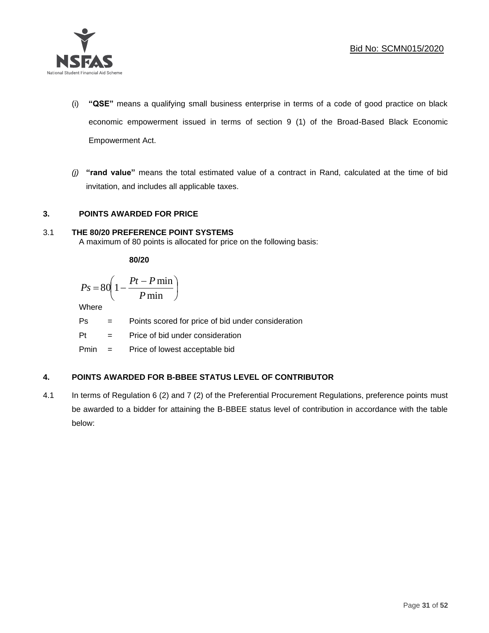

- (i) **"QSE"** means a qualifying small business enterprise in terms of a code of good practice on black economic empowerment issued in terms of section 9 (1) of the Broad-Based Black Economic Empowerment Act.
- *(j)* **"rand value"** means the total estimated value of a contract in Rand, calculated at the time of bid invitation, and includes all applicable taxes.

# **3. POINTS AWARDED FOR PRICE**

# 3.1 **THE 80/20 PREFERENCE POINT SYSTEMS**

A maximum of 80 points is allocated for price on the following basis:

**80/20**

$$
Ps = 80 \left( 1 - \frac{Pt - P \min}{P \min} \right)
$$

Where

Ps = Points scored for price of bid under consideration

l

 $Pt =$  Price of bid under consideration

Pmin = Price of lowest acceptable bid

# **4. POINTS AWARDED FOR B-BBEE STATUS LEVEL OF CONTRIBUTOR**

4.1 In terms of Regulation 6 (2) and 7 (2) of the Preferential Procurement Regulations, preference points must be awarded to a bidder for attaining the B-BBEE status level of contribution in accordance with the table below: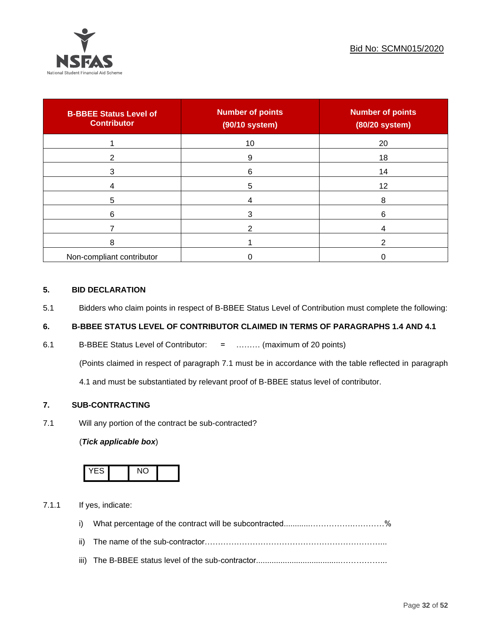

| <b>B-BBEE Status Level of</b><br><b>Contributor</b> | <b>Number of points</b><br>(90/10 system) | <b>Number of points</b><br>(80/20 system) |
|-----------------------------------------------------|-------------------------------------------|-------------------------------------------|
|                                                     | 10                                        | 20                                        |
| າ                                                   | 9                                         | 18                                        |
| 3                                                   | 6                                         | 14                                        |
|                                                     | 5                                         | 12                                        |
| 5                                                   |                                           | 8                                         |
| 6                                                   |                                           | 6                                         |
|                                                     |                                           |                                           |
| 8                                                   |                                           | ົ                                         |
| Non-compliant contributor                           |                                           |                                           |

# **5. BID DECLARATION**

5.1 Bidders who claim points in respect of B-BBEE Status Level of Contribution must complete the following:

# **6. B-BBEE STATUS LEVEL OF CONTRIBUTOR CLAIMED IN TERMS OF PARAGRAPHS 1.4 AND 4.1**

6.1 B-BBEE Status Level of Contributor: = ……… (maximum of 20 points)

(Points claimed in respect of paragraph 7.1 must be in accordance with the table reflected in paragraph

4.1 and must be substantiated by relevant proof of B-BBEE status level of contributor.

# **7. SUB-CONTRACTING**

7.1 Will any portion of the contract be sub-contracted?

# (*Tick applicable box*)



7.1.1 If yes, indicate:

- i) What percentage of the contract will be subcontracted............…………….…………%
- ii) The name of the sub-contractor…………………………………………………………...
- iii) The B-BBEE status level of the sub-contractor......................................……………...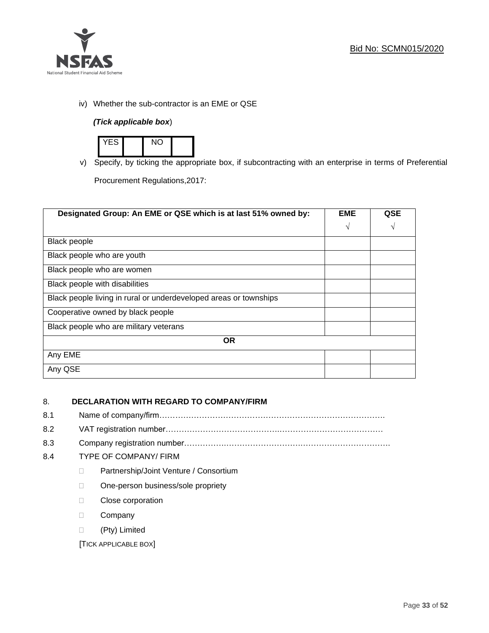

iv) Whether the sub-contractor is an EME or QSE

# *(Tick applicable box*)



v) Specify, by ticking the appropriate box, if subcontracting with an enterprise in terms of Preferential

Procurement Regulations,2017:

| Designated Group: An EME or QSE which is at last 51% owned by:    |            | <b>QSE</b> |
|-------------------------------------------------------------------|------------|------------|
|                                                                   | $\sqrt{ }$ | V          |
| <b>Black people</b>                                               |            |            |
| Black people who are youth                                        |            |            |
| Black people who are women                                        |            |            |
| Black people with disabilities                                    |            |            |
| Black people living in rural or underdeveloped areas or townships |            |            |
| Cooperative owned by black people                                 |            |            |
| Black people who are military veterans                            |            |            |
| <b>OR</b>                                                         |            |            |
| Any EME                                                           |            |            |
| Any QSE                                                           |            |            |

# 8. **DECLARATION WITH REGARD TO COMPANY/FIRM**

- 8.1 Name of company/firm………………………………………………………………………….
- 8.2 VAT registration number…………………………………….…………………………………
- 8.3 Company registration number…………….……………………….…………………………….

# 8.4 TYPE OF COMPANY/ FIRM

- D Partnership/Joint Venture / Consortium
- □ One-person business/sole propriety
- D Close corporation
- D Company
- (Pty) Limited

[TICK APPLICABLE BOX]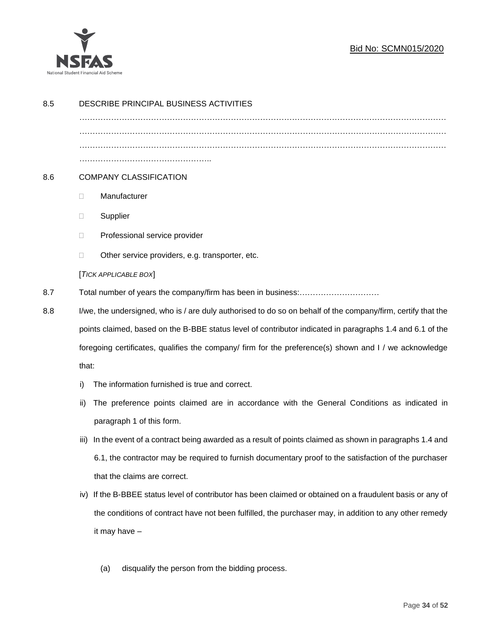

# Bid No: SCMN015/2020

| 8.5 | DESCRIBE PRINCIPAL BUSINESS ACTIVITIES                                                                       |                                                                                                        |  |
|-----|--------------------------------------------------------------------------------------------------------------|--------------------------------------------------------------------------------------------------------|--|
|     |                                                                                                              |                                                                                                        |  |
|     |                                                                                                              |                                                                                                        |  |
|     |                                                                                                              |                                                                                                        |  |
| 8.6 | <b>COMPANY CLASSIFICATION</b>                                                                                |                                                                                                        |  |
|     | O.                                                                                                           | Manufacturer                                                                                           |  |
|     | □                                                                                                            | Supplier                                                                                               |  |
|     | □                                                                                                            | Professional service provider                                                                          |  |
|     | $\Box$                                                                                                       | Other service providers, e.g. transporter, etc.                                                        |  |
|     |                                                                                                              | [TICK APPLICABLE BOX]                                                                                  |  |
| 8.7 |                                                                                                              |                                                                                                        |  |
| 8.8 | I/we, the undersigned, who is / are duly authorised to do so on behalf of the company/firm, certify that the |                                                                                                        |  |
|     | points claimed, based on the B-BBE status level of contributor indicated in paragraphs 1.4 and 6.1 of the    |                                                                                                        |  |
|     | foregoing certificates, qualifies the company/ firm for the preference(s) shown and I / we acknowledge       |                                                                                                        |  |
|     | that:                                                                                                        |                                                                                                        |  |
|     | i)                                                                                                           | The information furnished is true and correct.                                                         |  |
|     | ii)                                                                                                          | The preference points claimed are in accordance with the General Conditions as indicated in            |  |
|     |                                                                                                              | paragraph 1 of this form.                                                                              |  |
|     | iii)                                                                                                         | In the event of a contract being awarded as a result of points claimed as shown in paragraphs 1.4 and  |  |
|     |                                                                                                              | 6.1, the contractor may be required to furnish documentary proof to the satisfaction of the purchaser  |  |
|     |                                                                                                              | that the claims are correct.                                                                           |  |
|     | iv)                                                                                                          | If the B-BBEE status level of contributor has been claimed or obtained on a fraudulent basis or any of |  |
|     |                                                                                                              | the conditions of contract have not been fulfilled, the purchaser may, in addition to any other remedy |  |
|     | it may have -                                                                                                |                                                                                                        |  |
|     |                                                                                                              |                                                                                                        |  |
|     |                                                                                                              | disqualify the person from the bidding process.<br>(a)                                                 |  |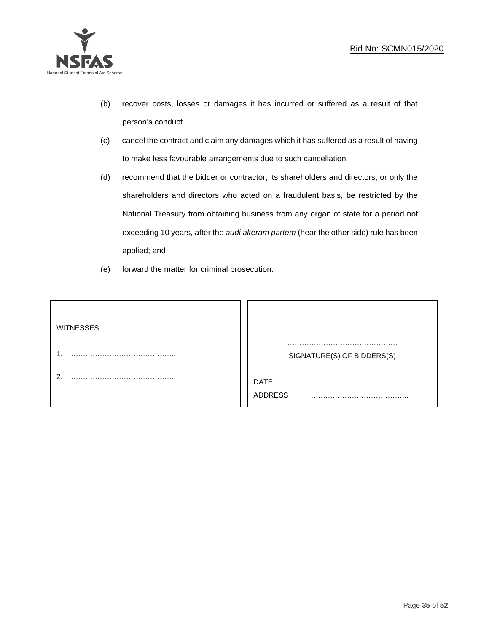

- (b) recover costs, losses or damages it has incurred or suffered as a result of that person's conduct.
- (c) cancel the contract and claim any damages which it has suffered as a result of having to make less favourable arrangements due to such cancellation.
- (d) recommend that the bidder or contractor, its shareholders and directors, or only the shareholders and directors who acted on a fraudulent basis, be restricted by the National Treasury from obtaining business from any organ of state for a period not exceeding 10 years, after the *audi alteram partem* (hear the other side) rule has been applied; and
- (e) forward the matter for criminal prosecution.

| <b>WITNESSES</b> |                              |
|------------------|------------------------------|
|                  | SIGNATURE(S) OF BIDDERS(S)   |
|                  | DATE:<br>.<br><b>ADDRESS</b> |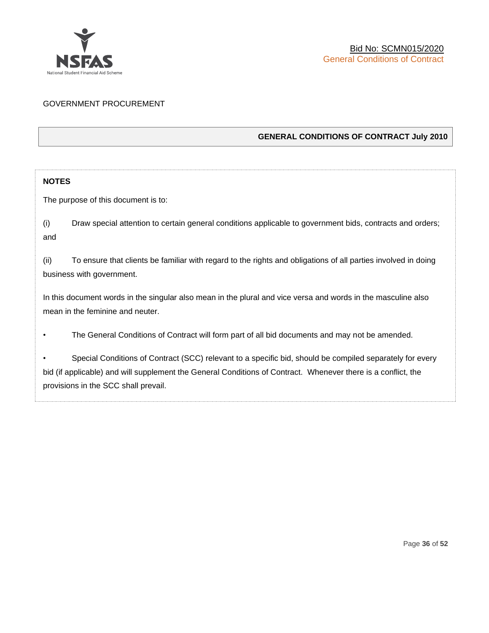

# GOVERNMENT PROCUREMENT

# **GENERAL CONDITIONS OF CONTRACT July 2010**

# **NOTES**

The purpose of this document is to:

(i) Draw special attention to certain general conditions applicable to government bids, contracts and orders; and

(ii) To ensure that clients be familiar with regard to the rights and obligations of all parties involved in doing business with government.

In this document words in the singular also mean in the plural and vice versa and words in the masculine also mean in the feminine and neuter.

• The General Conditions of Contract will form part of all bid documents and may not be amended.

Special Conditions of Contract (SCC) relevant to a specific bid, should be compiled separately for every bid (if applicable) and will supplement the General Conditions of Contract. Whenever there is a conflict, the provisions in the SCC shall prevail.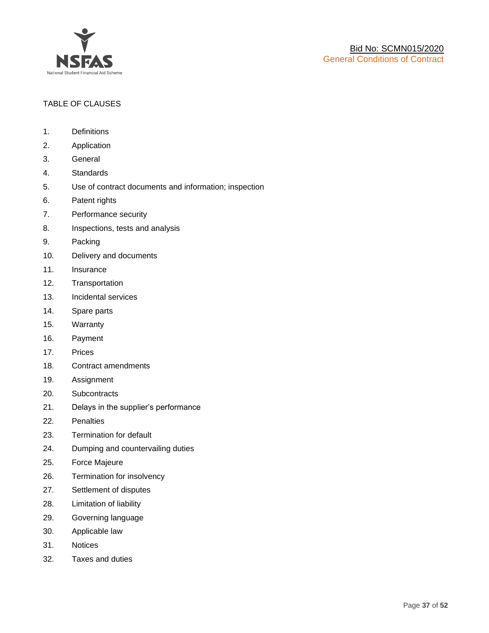

# TABLE OF CLAUSES

- 1. Definitions
- 2. Application
- 3. General
- 4. Standards
- 5. Use of contract documents and information; inspection
- 6. Patent rights
- 7. Performance security
- 8. Inspections, tests and analysis
- 9. Packing
- 10. Delivery and documents
- 11. Insurance
- 12. Transportation
- 13. Incidental services
- 14. Spare parts
- 15. Warranty
- 16. Payment
- 17. Prices
- 18. Contract amendments
- 19. Assignment
- 20. Subcontracts
- 21. Delays in the supplier's performance
- 22. Penalties
- 23. Termination for default
- 24. Dumping and countervailing duties
- 25. Force Majeure
- 26. Termination for insolvency
- 27. Settlement of disputes
- 28. Limitation of liability
- 29. Governing language
- 30. Applicable law
- 31. Notices
- 32. Taxes and duties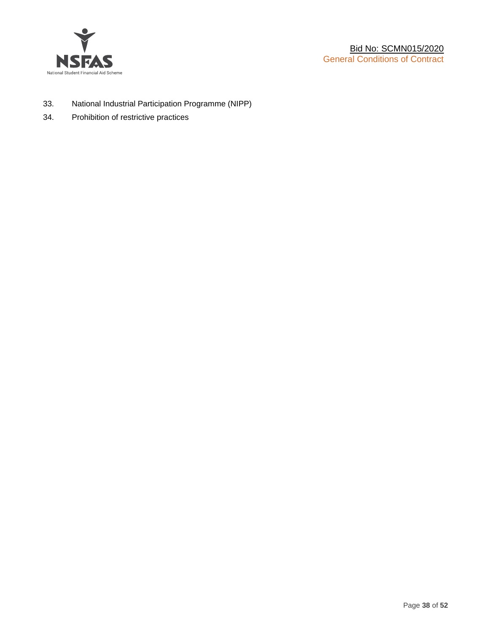

- 33. National Industrial Participation Programme (NIPP)
- 34. Prohibition of restrictive practices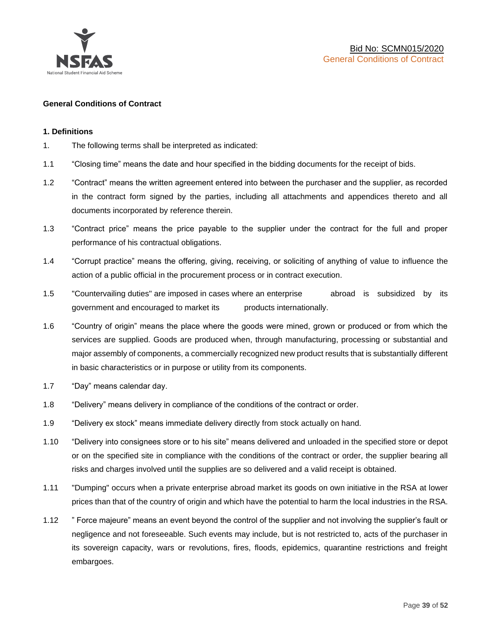

# **General Conditions of Contract**

#### **1. Definitions**

- 1. The following terms shall be interpreted as indicated:
- 1.1 "Closing time" means the date and hour specified in the bidding documents for the receipt of bids.
- 1.2 "Contract" means the written agreement entered into between the purchaser and the supplier, as recorded in the contract form signed by the parties, including all attachments and appendices thereto and all documents incorporated by reference therein.
- 1.3 "Contract price" means the price payable to the supplier under the contract for the full and proper performance of his contractual obligations.
- 1.4 "Corrupt practice" means the offering, giving, receiving, or soliciting of anything of value to influence the action of a public official in the procurement process or in contract execution.
- 1.5 "Countervailing duties" are imposed in cases where an enterprise abroad is subsidized by its government and encouraged to market its products internationally.
- 1.6 "Country of origin" means the place where the goods were mined, grown or produced or from which the services are supplied. Goods are produced when, through manufacturing, processing or substantial and major assembly of components, a commercially recognized new product results that is substantially different in basic characteristics or in purpose or utility from its components.
- 1.7 "Day" means calendar day.
- 1.8 "Delivery" means delivery in compliance of the conditions of the contract or order.
- 1.9 "Delivery ex stock" means immediate delivery directly from stock actually on hand.
- 1.10 "Delivery into consignees store or to his site" means delivered and unloaded in the specified store or depot or on the specified site in compliance with the conditions of the contract or order, the supplier bearing all risks and charges involved until the supplies are so delivered and a valid receipt is obtained.
- 1.11 "Dumping" occurs when a private enterprise abroad market its goods on own initiative in the RSA at lower prices than that of the country of origin and which have the potential to harm the local industries in the RSA.
- 1.12 " Force majeure" means an event beyond the control of the supplier and not involving the supplier's fault or negligence and not foreseeable. Such events may include, but is not restricted to, acts of the purchaser in its sovereign capacity, wars or revolutions, fires, floods, epidemics, quarantine restrictions and freight embargoes.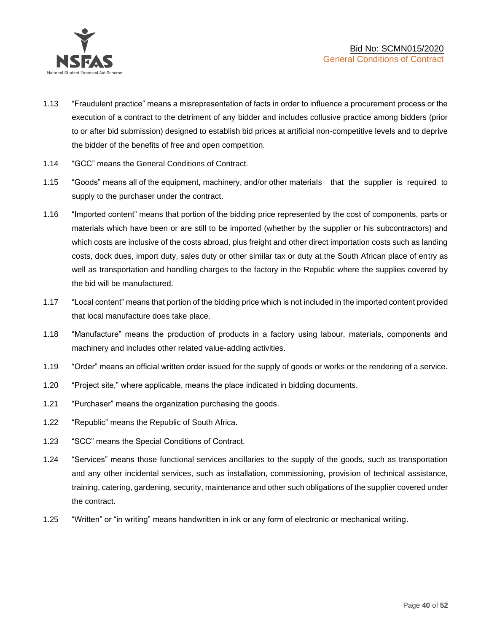

- 1.13 "Fraudulent practice" means a misrepresentation of facts in order to influence a procurement process or the execution of a contract to the detriment of any bidder and includes collusive practice among bidders (prior to or after bid submission) designed to establish bid prices at artificial non-competitive levels and to deprive the bidder of the benefits of free and open competition.
- 1.14 "GCC" means the General Conditions of Contract.
- 1.15 "Goods" means all of the equipment, machinery, and/or other materials that the supplier is required to supply to the purchaser under the contract.
- 1.16 "Imported content" means that portion of the bidding price represented by the cost of components, parts or materials which have been or are still to be imported (whether by the supplier or his subcontractors) and which costs are inclusive of the costs abroad, plus freight and other direct importation costs such as landing costs, dock dues, import duty, sales duty or other similar tax or duty at the South African place of entry as well as transportation and handling charges to the factory in the Republic where the supplies covered by the bid will be manufactured.
- 1.17 "Local content" means that portion of the bidding price which is not included in the imported content provided that local manufacture does take place.
- 1.18 "Manufacture" means the production of products in a factory using labour, materials, components and machinery and includes other related value-adding activities.
- 1.19 "Order" means an official written order issued for the supply of goods or works or the rendering of a service.
- 1.20 "Project site," where applicable, means the place indicated in bidding documents.
- 1.21 "Purchaser" means the organization purchasing the goods.
- 1.22 "Republic" means the Republic of South Africa.
- 1.23 "SCC" means the Special Conditions of Contract.
- 1.24 "Services" means those functional services ancillaries to the supply of the goods, such as transportation and any other incidental services, such as installation, commissioning, provision of technical assistance, training, catering, gardening, security, maintenance and other such obligations of the supplier covered under the contract.
- 1.25 "Written" or "in writing" means handwritten in ink or any form of electronic or mechanical writing.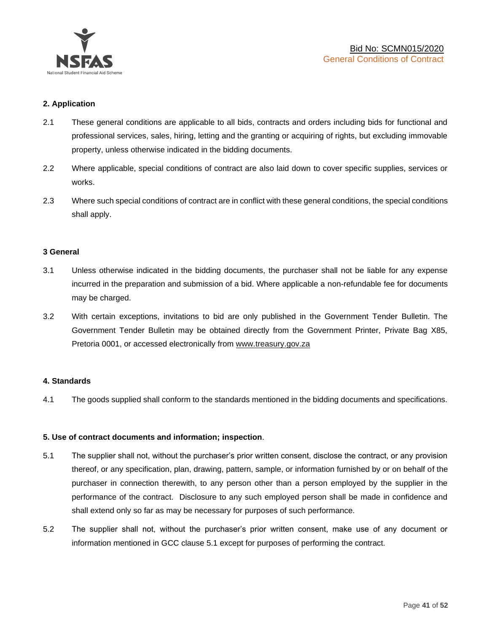

# **2. Application**

- 2.1 These general conditions are applicable to all bids, contracts and orders including bids for functional and professional services, sales, hiring, letting and the granting or acquiring of rights, but excluding immovable property, unless otherwise indicated in the bidding documents.
- 2.2 Where applicable, special conditions of contract are also laid down to cover specific supplies, services or works.
- 2.3 Where such special conditions of contract are in conflict with these general conditions, the special conditions shall apply.

#### **3 General**

- 3.1 Unless otherwise indicated in the bidding documents, the purchaser shall not be liable for any expense incurred in the preparation and submission of a bid. Where applicable a non-refundable fee for documents may be charged.
- 3.2 With certain exceptions, invitations to bid are only published in the Government Tender Bulletin. The Government Tender Bulletin may be obtained directly from the Government Printer, Private Bag X85, Pretoria 0001, or accessed electronically from [www.treasury.gov.za](http://www.treasury.gov.za/)

#### **4. Standards**

4.1 The goods supplied shall conform to the standards mentioned in the bidding documents and specifications.

#### **5. Use of contract documents and information; inspection**.

- 5.1 The supplier shall not, without the purchaser's prior written consent, disclose the contract, or any provision thereof, or any specification, plan, drawing, pattern, sample, or information furnished by or on behalf of the purchaser in connection therewith, to any person other than a person employed by the supplier in the performance of the contract. Disclosure to any such employed person shall be made in confidence and shall extend only so far as may be necessary for purposes of such performance.
- 5.2 The supplier shall not, without the purchaser's prior written consent, make use of any document or information mentioned in GCC clause 5.1 except for purposes of performing the contract.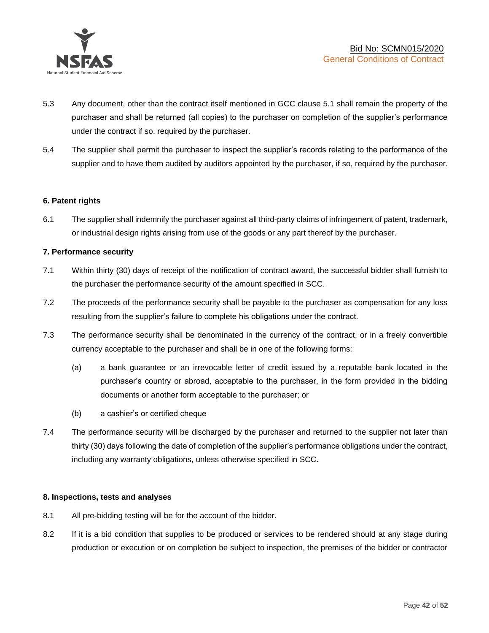

- 5.3 Any document, other than the contract itself mentioned in GCC clause 5.1 shall remain the property of the purchaser and shall be returned (all copies) to the purchaser on completion of the supplier's performance under the contract if so, required by the purchaser.
- 5.4 The supplier shall permit the purchaser to inspect the supplier's records relating to the performance of the supplier and to have them audited by auditors appointed by the purchaser, if so, required by the purchaser.

# **6. Patent rights**

6.1 The supplier shall indemnify the purchaser against all third-party claims of infringement of patent, trademark, or industrial design rights arising from use of the goods or any part thereof by the purchaser.

# **7. Performance security**

- 7.1 Within thirty (30) days of receipt of the notification of contract award, the successful bidder shall furnish to the purchaser the performance security of the amount specified in SCC.
- 7.2 The proceeds of the performance security shall be payable to the purchaser as compensation for any loss resulting from the supplier's failure to complete his obligations under the contract.
- 7.3 The performance security shall be denominated in the currency of the contract, or in a freely convertible currency acceptable to the purchaser and shall be in one of the following forms:
	- (a) a bank guarantee or an irrevocable letter of credit issued by a reputable bank located in the purchaser's country or abroad, acceptable to the purchaser, in the form provided in the bidding documents or another form acceptable to the purchaser; or
	- (b) a cashier's or certified cheque
- 7.4 The performance security will be discharged by the purchaser and returned to the supplier not later than thirty (30) days following the date of completion of the supplier's performance obligations under the contract, including any warranty obligations, unless otherwise specified in SCC.

#### **8. Inspections, tests and analyses**

- 8.1 All pre-bidding testing will be for the account of the bidder.
- 8.2 If it is a bid condition that supplies to be produced or services to be rendered should at any stage during production or execution or on completion be subject to inspection, the premises of the bidder or contractor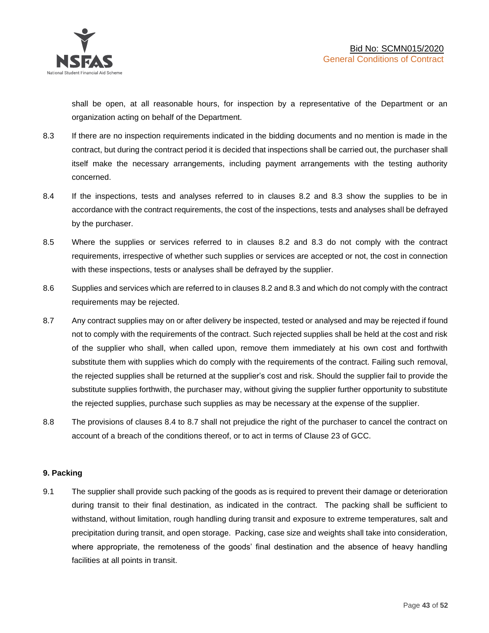shall be open, at all reasonable hours, for inspection by a representative of the Department or an organization acting on behalf of the Department.

- 8.3 If there are no inspection requirements indicated in the bidding documents and no mention is made in the contract, but during the contract period it is decided that inspections shall be carried out, the purchaser shall itself make the necessary arrangements, including payment arrangements with the testing authority concerned.
- 8.4 If the inspections, tests and analyses referred to in clauses 8.2 and 8.3 show the supplies to be in accordance with the contract requirements, the cost of the inspections, tests and analyses shall be defrayed by the purchaser.
- 8.5 Where the supplies or services referred to in clauses 8.2 and 8.3 do not comply with the contract requirements, irrespective of whether such supplies or services are accepted or not, the cost in connection with these inspections, tests or analyses shall be defrayed by the supplier.
- 8.6 Supplies and services which are referred to in clauses 8.2 and 8.3 and which do not comply with the contract requirements may be rejected.
- 8.7 Any contract supplies may on or after delivery be inspected, tested or analysed and may be rejected if found not to comply with the requirements of the contract. Such rejected supplies shall be held at the cost and risk of the supplier who shall, when called upon, remove them immediately at his own cost and forthwith substitute them with supplies which do comply with the requirements of the contract. Failing such removal, the rejected supplies shall be returned at the supplier's cost and risk. Should the supplier fail to provide the substitute supplies forthwith, the purchaser may, without giving the supplier further opportunity to substitute the rejected supplies, purchase such supplies as may be necessary at the expense of the supplier.
- 8.8 The provisions of clauses 8.4 to 8.7 shall not prejudice the right of the purchaser to cancel the contract on account of a breach of the conditions thereof, or to act in terms of Clause 23 of GCC.

# **9. Packing**

9.1 The supplier shall provide such packing of the goods as is required to prevent their damage or deterioration during transit to their final destination, as indicated in the contract. The packing shall be sufficient to withstand, without limitation, rough handling during transit and exposure to extreme temperatures, salt and precipitation during transit, and open storage. Packing, case size and weights shall take into consideration, where appropriate, the remoteness of the goods' final destination and the absence of heavy handling facilities at all points in transit.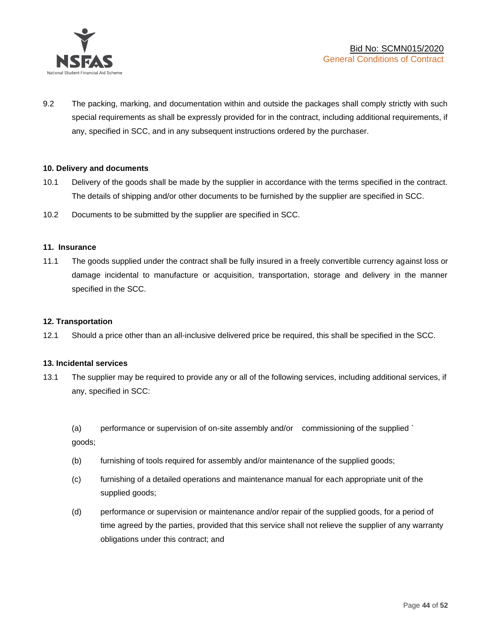

9.2 The packing, marking, and documentation within and outside the packages shall comply strictly with such special requirements as shall be expressly provided for in the contract, including additional requirements, if any, specified in SCC, and in any subsequent instructions ordered by the purchaser.

# **10. Delivery and documents**

- 10.1 Delivery of the goods shall be made by the supplier in accordance with the terms specified in the contract. The details of shipping and/or other documents to be furnished by the supplier are specified in SCC.
- 10.2 Documents to be submitted by the supplier are specified in SCC.

#### **11. Insurance**

11.1 The goods supplied under the contract shall be fully insured in a freely convertible currency against loss or damage incidental to manufacture or acquisition, transportation, storage and delivery in the manner specified in the SCC.

#### **12. Transportation**

12.1 Should a price other than an all-inclusive delivered price be required, this shall be specified in the SCC.

#### **13. Incidental services**

13.1 The supplier may be required to provide any or all of the following services, including additional services, if any, specified in SCC:

(a) performance or supervision of on-site assembly and/or commissioning of the supplied ` goods;

- (b) furnishing of tools required for assembly and/or maintenance of the supplied goods;
- (c) furnishing of a detailed operations and maintenance manual for each appropriate unit of the supplied goods;
- (d) performance or supervision or maintenance and/or repair of the supplied goods, for a period of time agreed by the parties, provided that this service shall not relieve the supplier of any warranty obligations under this contract; and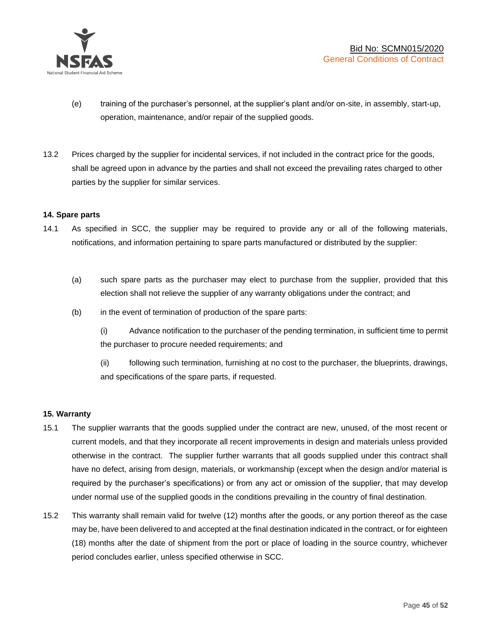

- (e) training of the purchaser's personnel, at the supplier's plant and/or on-site, in assembly, start-up, operation, maintenance, and/or repair of the supplied goods.
- 13.2 Prices charged by the supplier for incidental services, if not included in the contract price for the goods, shall be agreed upon in advance by the parties and shall not exceed the prevailing rates charged to other parties by the supplier for similar services.

# **14. Spare parts**

- 14.1 As specified in SCC, the supplier may be required to provide any or all of the following materials, notifications, and information pertaining to spare parts manufactured or distributed by the supplier:
	- (a) such spare parts as the purchaser may elect to purchase from the supplier, provided that this election shall not relieve the supplier of any warranty obligations under the contract; and
	- (b) in the event of termination of production of the spare parts:

(i) Advance notification to the purchaser of the pending termination, in sufficient time to permit the purchaser to procure needed requirements; and

(ii) following such termination, furnishing at no cost to the purchaser, the blueprints, drawings, and specifications of the spare parts, if requested.

#### **15. Warranty**

- 15.1 The supplier warrants that the goods supplied under the contract are new, unused, of the most recent or current models, and that they incorporate all recent improvements in design and materials unless provided otherwise in the contract. The supplier further warrants that all goods supplied under this contract shall have no defect, arising from design, materials, or workmanship (except when the design and/or material is required by the purchaser's specifications) or from any act or omission of the supplier, that may develop under normal use of the supplied goods in the conditions prevailing in the country of final destination.
- 15.2 This warranty shall remain valid for twelve (12) months after the goods, or any portion thereof as the case may be, have been delivered to and accepted at the final destination indicated in the contract, or for eighteen (18) months after the date of shipment from the port or place of loading in the source country, whichever period concludes earlier, unless specified otherwise in SCC.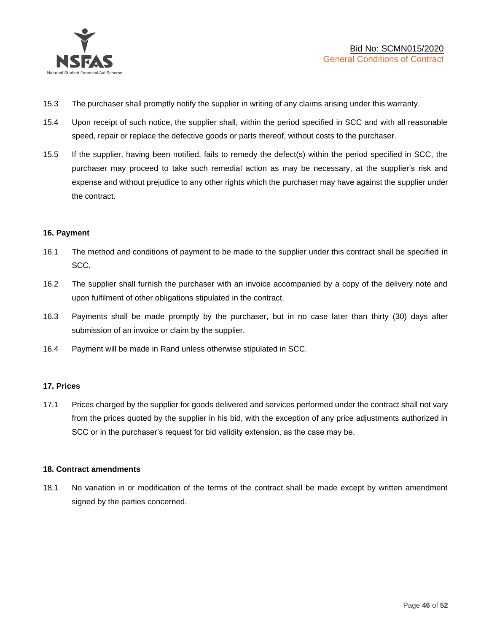

- 15.3 The purchaser shall promptly notify the supplier in writing of any claims arising under this warranty.
- 15.4 Upon receipt of such notice, the supplier shall, within the period specified in SCC and with all reasonable speed, repair or replace the defective goods or parts thereof, without costs to the purchaser.
- 15.5 If the supplier, having been notified, fails to remedy the defect(s) within the period specified in SCC, the purchaser may proceed to take such remedial action as may be necessary, at the supplier's risk and expense and without prejudice to any other rights which the purchaser may have against the supplier under the contract.

# **16. Payment**

- 16.1 The method and conditions of payment to be made to the supplier under this contract shall be specified in SCC.
- 16.2 The supplier shall furnish the purchaser with an invoice accompanied by a copy of the delivery note and upon fulfilment of other obligations stipulated in the contract.
- 16.3 Payments shall be made promptly by the purchaser, but in no case later than thirty (30) days after submission of an invoice or claim by the supplier.
- 16.4 Payment will be made in Rand unless otherwise stipulated in SCC.

#### **17. Prices**

17.1 Prices charged by the supplier for goods delivered and services performed under the contract shall not vary from the prices quoted by the supplier in his bid, with the exception of any price adjustments authorized in SCC or in the purchaser's request for bid validity extension, as the case may be.

#### **18. Contract amendments**

18.1 No variation in or modification of the terms of the contract shall be made except by written amendment signed by the parties concerned.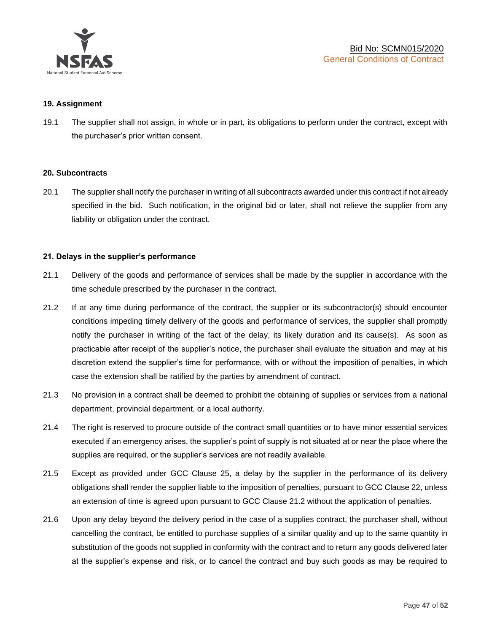

#### **19. Assignment**

19.1 The supplier shall not assign, in whole or in part, its obligations to perform under the contract, except with the purchaser's prior written consent.

#### **20. Subcontracts**

20.1 The supplier shall notify the purchaser in writing of all subcontracts awarded under this contract if not already specified in the bid. Such notification, in the original bid or later, shall not relieve the supplier from any liability or obligation under the contract.

# **21. Delays in the supplier's performance**

- 21.1 Delivery of the goods and performance of services shall be made by the supplier in accordance with the time schedule prescribed by the purchaser in the contract.
- 21.2 If at any time during performance of the contract, the supplier or its subcontractor(s) should encounter conditions impeding timely delivery of the goods and performance of services, the supplier shall promptly notify the purchaser in writing of the fact of the delay, its likely duration and its cause(s). As soon as practicable after receipt of the supplier's notice, the purchaser shall evaluate the situation and may at his discretion extend the supplier's time for performance, with or without the imposition of penalties, in which case the extension shall be ratified by the parties by amendment of contract.
- 21.3 No provision in a contract shall be deemed to prohibit the obtaining of supplies or services from a national department, provincial department, or a local authority.
- 21.4 The right is reserved to procure outside of the contract small quantities or to have minor essential services executed if an emergency arises, the supplier's point of supply is not situated at or near the place where the supplies are required, or the supplier's services are not readily available.
- 21.5 Except as provided under GCC Clause 25, a delay by the supplier in the performance of its delivery obligations shall render the supplier liable to the imposition of penalties, pursuant to GCC Clause 22, unless an extension of time is agreed upon pursuant to GCC Clause 21.2 without the application of penalties.
- 21.6 Upon any delay beyond the delivery period in the case of a supplies contract, the purchaser shall, without cancelling the contract, be entitled to purchase supplies of a similar quality and up to the same quantity in substitution of the goods not supplied in conformity with the contract and to return any goods delivered later at the supplier's expense and risk, or to cancel the contract and buy such goods as may be required to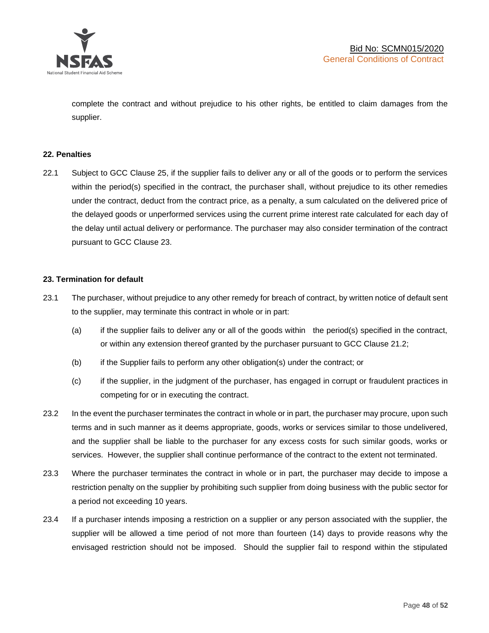

complete the contract and without prejudice to his other rights, be entitled to claim damages from the supplier.

#### **22. Penalties**

22.1 Subject to GCC Clause 25, if the supplier fails to deliver any or all of the goods or to perform the services within the period(s) specified in the contract, the purchaser shall, without prejudice to its other remedies under the contract, deduct from the contract price, as a penalty, a sum calculated on the delivered price of the delayed goods or unperformed services using the current prime interest rate calculated for each day of the delay until actual delivery or performance. The purchaser may also consider termination of the contract pursuant to GCC Clause 23.

#### **23. Termination for default**

- 23.1 The purchaser, without prejudice to any other remedy for breach of contract, by written notice of default sent to the supplier, may terminate this contract in whole or in part:
	- (a) if the supplier fails to deliver any or all of the goods within the period(s) specified in the contract, or within any extension thereof granted by the purchaser pursuant to GCC Clause 21.2;
	- (b) if the Supplier fails to perform any other obligation(s) under the contract; or
	- (c) if the supplier, in the judgment of the purchaser, has engaged in corrupt or fraudulent practices in competing for or in executing the contract.
- 23.2 In the event the purchaser terminates the contract in whole or in part, the purchaser may procure, upon such terms and in such manner as it deems appropriate, goods, works or services similar to those undelivered, and the supplier shall be liable to the purchaser for any excess costs for such similar goods, works or services. However, the supplier shall continue performance of the contract to the extent not terminated.
- 23.3 Where the purchaser terminates the contract in whole or in part, the purchaser may decide to impose a restriction penalty on the supplier by prohibiting such supplier from doing business with the public sector for a period not exceeding 10 years.
- 23.4 If a purchaser intends imposing a restriction on a supplier or any person associated with the supplier, the supplier will be allowed a time period of not more than fourteen (14) days to provide reasons why the envisaged restriction should not be imposed. Should the supplier fail to respond within the stipulated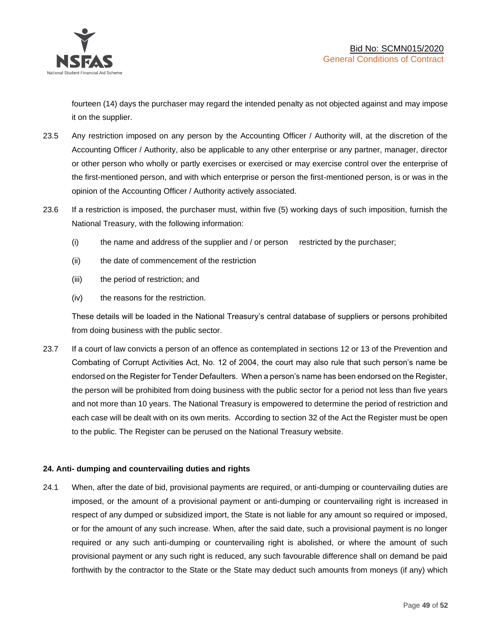

fourteen (14) days the purchaser may regard the intended penalty as not objected against and may impose it on the supplier.

- 23.5 Any restriction imposed on any person by the Accounting Officer / Authority will, at the discretion of the Accounting Officer / Authority, also be applicable to any other enterprise or any partner, manager, director or other person who wholly or partly exercises or exercised or may exercise control over the enterprise of the first-mentioned person, and with which enterprise or person the first-mentioned person, is or was in the opinion of the Accounting Officer / Authority actively associated.
- 23.6 If a restriction is imposed, the purchaser must, within five (5) working days of such imposition, furnish the National Treasury, with the following information:
	- (i) the name and address of the supplier and / or person restricted by the purchaser;
	- (ii) the date of commencement of the restriction
	- (iii) the period of restriction; and
	- (iv) the reasons for the restriction.

These details will be loaded in the National Treasury's central database of suppliers or persons prohibited from doing business with the public sector.

23.7 If a court of law convicts a person of an offence as contemplated in sections 12 or 13 of the Prevention and Combating of Corrupt Activities Act, No. 12 of 2004, the court may also rule that such person's name be endorsed on the Register for Tender Defaulters. When a person's name has been endorsed on the Register, the person will be prohibited from doing business with the public sector for a period not less than five years and not more than 10 years. The National Treasury is empowered to determine the period of restriction and each case will be dealt with on its own merits. According to section 32 of the Act the Register must be open to the public. The Register can be perused on the National Treasury website.

# **24. Anti- dumping and countervailing duties and rights**

24.1 When, after the date of bid, provisional payments are required, or anti-dumping or countervailing duties are imposed, or the amount of a provisional payment or anti-dumping or countervailing right is increased in respect of any dumped or subsidized import, the State is not liable for any amount so required or imposed, or for the amount of any such increase. When, after the said date, such a provisional payment is no longer required or any such anti-dumping or countervailing right is abolished, or where the amount of such provisional payment or any such right is reduced, any such favourable difference shall on demand be paid forthwith by the contractor to the State or the State may deduct such amounts from moneys (if any) which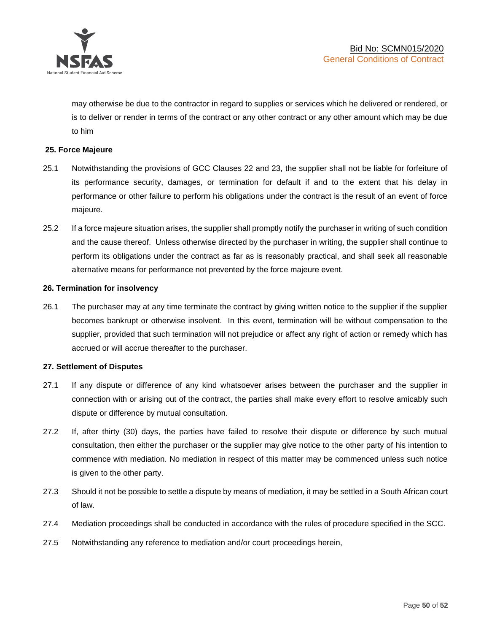

may otherwise be due to the contractor in regard to supplies or services which he delivered or rendered, or is to deliver or render in terms of the contract or any other contract or any other amount which may be due to him

# **25. Force Majeure**

- 25.1 Notwithstanding the provisions of GCC Clauses 22 and 23, the supplier shall not be liable for forfeiture of its performance security, damages, or termination for default if and to the extent that his delay in performance or other failure to perform his obligations under the contract is the result of an event of force majeure.
- 25.2 If a force majeure situation arises, the supplier shall promptly notify the purchaser in writing of such condition and the cause thereof. Unless otherwise directed by the purchaser in writing, the supplier shall continue to perform its obligations under the contract as far as is reasonably practical, and shall seek all reasonable alternative means for performance not prevented by the force majeure event.

#### **26. Termination for insolvency**

26.1 The purchaser may at any time terminate the contract by giving written notice to the supplier if the supplier becomes bankrupt or otherwise insolvent. In this event, termination will be without compensation to the supplier, provided that such termination will not prejudice or affect any right of action or remedy which has accrued or will accrue thereafter to the purchaser.

#### **27. Settlement of Disputes**

- 27.1 If any dispute or difference of any kind whatsoever arises between the purchaser and the supplier in connection with or arising out of the contract, the parties shall make every effort to resolve amicably such dispute or difference by mutual consultation.
- 27.2 If, after thirty (30) days, the parties have failed to resolve their dispute or difference by such mutual consultation, then either the purchaser or the supplier may give notice to the other party of his intention to commence with mediation. No mediation in respect of this matter may be commenced unless such notice is given to the other party.
- 27.3 Should it not be possible to settle a dispute by means of mediation, it may be settled in a South African court of law.
- 27.4 Mediation proceedings shall be conducted in accordance with the rules of procedure specified in the SCC.
- 27.5 Notwithstanding any reference to mediation and/or court proceedings herein,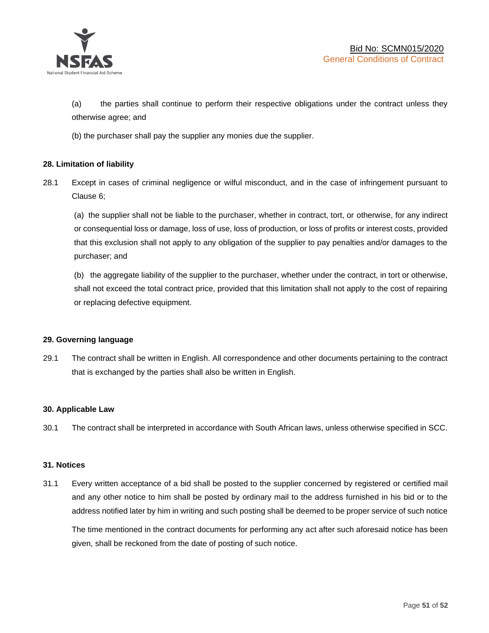

(a) the parties shall continue to perform their respective obligations under the contract unless they otherwise agree; and

(b) the purchaser shall pay the supplier any monies due the supplier.

# **28. Limitation of liability**

28.1 Except in cases of criminal negligence or wilful misconduct, and in the case of infringement pursuant to Clause 6;

(a) the supplier shall not be liable to the purchaser, whether in contract, tort, or otherwise, for any indirect or consequential loss or damage, loss of use, loss of production, or loss of profits or interest costs, provided that this exclusion shall not apply to any obligation of the supplier to pay penalties and/or damages to the purchaser; and

(b) the aggregate liability of the supplier to the purchaser, whether under the contract, in tort or otherwise, shall not exceed the total contract price, provided that this limitation shall not apply to the cost of repairing or replacing defective equipment.

#### **29. Governing language**

29.1 The contract shall be written in English. All correspondence and other documents pertaining to the contract that is exchanged by the parties shall also be written in English.

#### **30. Applicable Law**

30.1 The contract shall be interpreted in accordance with South African laws, unless otherwise specified in SCC.

#### **31. Notices**

31.1 Every written acceptance of a bid shall be posted to the supplier concerned by registered or certified mail and any other notice to him shall be posted by ordinary mail to the address furnished in his bid or to the address notified later by him in writing and such posting shall be deemed to be proper service of such notice

The time mentioned in the contract documents for performing any act after such aforesaid notice has been given, shall be reckoned from the date of posting of such notice.